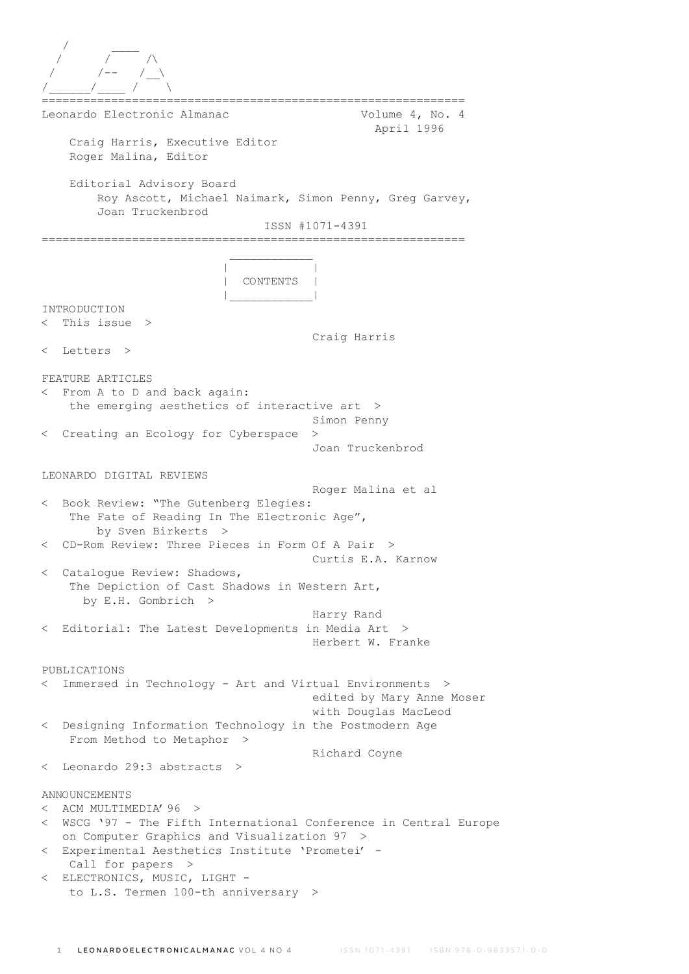|         | Leonardo Electronic Almanac                                                                                                                                  | Volume 4, No. 4<br>April 1996                     |
|---------|--------------------------------------------------------------------------------------------------------------------------------------------------------------|---------------------------------------------------|
|         | Craig Harris, Executive Editor<br>Roger Malina, Editor                                                                                                       |                                                   |
|         | Editorial Advisory Board<br>Roy Ascott, Michael Naimark, Simon Penny, Greg Garvey,                                                                           |                                                   |
|         | Joan Truckenbrod                                                                                                                                             | ISSN #1071-4391                                   |
|         |                                                                                                                                                              |                                                   |
|         | CONTENTS                                                                                                                                                     |                                                   |
| K       | INTRODUCTION<br>This issue $>$                                                                                                                               |                                                   |
| $\,<\,$ | Letters<br>>                                                                                                                                                 | Craig Harris                                      |
| $\,<\,$ | FEATURE ARTICLES<br>From A to D and back again:<br>the emerging aesthetics of interactive art $\rightarrow$                                                  |                                                   |
|         | < Creating an Ecology for Cyberspace                                                                                                                         | Simon Penny<br>$\geq$                             |
|         |                                                                                                                                                              | Joan Truckenbrod                                  |
|         | LEONARDO DIGITAL REVIEWS                                                                                                                                     |                                                   |
| $\,<\,$ | Book Review: "The Gutenberg Elegies:<br>The Fate of Reading In The Electronic Age",<br>by Sven Birkerts ><br>< CD-Rom Review: Three Pieces in Form Of A Pair | Roger Malina et al<br>- >                         |
|         |                                                                                                                                                              | Curtis E.A. Karnow                                |
|         | < Catalogue Review: Shadows,<br>The Depiction of Cast Shadows in Western Art,<br>by E.H. Gombrich >                                                          |                                                   |
|         |                                                                                                                                                              | Harry Rand                                        |
|         | < Editorial: The Latest Developments in Media Art >                                                                                                          | Herbert W. Franke                                 |
| $\lt$   | PUBLICATIONS<br>Immersed in Technology - Art and Virtual Environments >                                                                                      | edited by Mary Anne Moser<br>with Douglas MacLeod |
|         | < Designing Information Technology in the Postmodern Age<br>From Method to Metaphor<br>$\rightarrow$                                                         |                                                   |
|         | < Leonardo 29:3 abstracts >                                                                                                                                  | Richard Coyne                                     |
|         | ANNOUNCEMENTS                                                                                                                                                |                                                   |
| $\lt$ . | ACM MULTIMEDIA' 96<br>$\rightarrow$<br>< WSCG '97 - The Fifth International Conference in Central Europe<br>on Computer Graphics and Visualization 97 >      |                                                   |
|         | < Experimental Aesthetics Institute 'Prometei' -<br>Call for papers >                                                                                        |                                                   |
|         | < ELECTRONICS, MUSIC, LIGHT -<br>to L.S. Termen 100-th anniversary >                                                                                         |                                                   |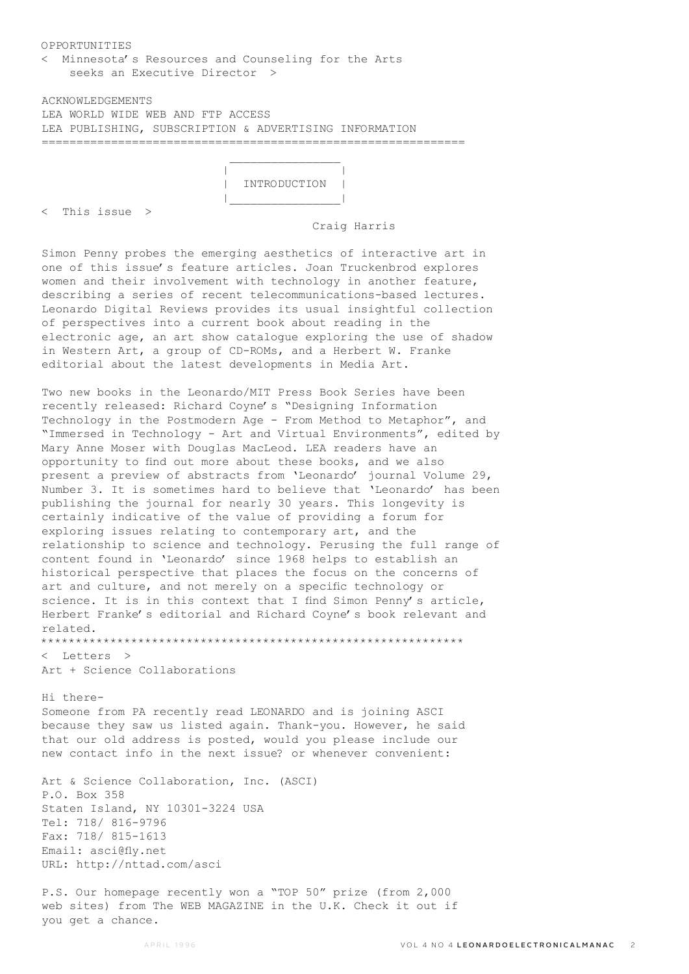### OPPORTUNITIES

< Minnesota's Resources and Counseling for the Arts seeks an Executive Director >

ACKNOWLEDGEMENTS LEA WORLD WIDE WEB AND FTP ACCESS LEA PUBLISHING, SUBSCRIPTION & ADVERTISING INFORMATION =============================================================

 $\mathcal{L}_\text{max}$  and  $\mathcal{L}_\text{max}$  are the set of  $\mathcal{L}_\text{max}$  . The set of  $\mathcal{L}_\text{max}$  | | | INTRODUCTION | |\_\_\_\_\_\_\_\_\_\_\_\_\_\_\_\_|

< This issue >

# Craig Harris

Simon Penny probes the emerging aesthetics of interactive art in one of this issue's feature articles. Joan Truckenbrod explores women and their involvement with technology in another feature, describing a series of recent telecommunications-based lectures. Leonardo Digital Reviews provides its usual insightful collection of perspectives into a current book about reading in the electronic age, an art show catalogue exploring the use of shadow in Western Art, a group of CD-ROMs, and a Herbert W. Franke editorial about the latest developments in Media Art.

Two new books in the Leonardo/MIT Press Book Series have been recently released: Richard Coyne's "Designing Information Technology in the Postmodern Age - From Method to Metaphor", and "Immersed in Technology - Art and Virtual Environments", edited by Mary Anne Moser with Douglas MacLeod. LEA readers have an opportunity to find out more about these books, and we also present a preview of abstracts from 'Leonardo' journal Volume 29, Number 3. It is sometimes hard to believe that 'Leonardo' has been publishing the journal for nearly 30 years. This longevity is certainly indicative of the value of providing a forum for exploring issues relating to contemporary art, and the relationship to science and technology. Perusing the full range of content found in 'Leonardo' since 1968 helps to establish an historical perspective that places the focus on the concerns of art and culture, and not merely on a specific technology or science. It is in this context that I find Simon Penny's article, Herbert Franke's editorial and Richard Coyne's book relevant and related. \*\*\*\*\*\*\*\*\*\*\*\*\*\*\*\*\*\*\*\*\*\*\*\*\*\*\*\*\*\*\*\*\*\*\*\*\*\*\*\*\*\*\*\*\*\*\*\*\*\*\*\*\*\*\*\*\*\*\*\*\*

Letters > Art + Science Collaborations

Hi there-Someone from PA recently read LEONARDO and is joining ASCI because they saw us listed again. Thank-you. However, he said that our old address is posted, would you please include our new contact info in the next issue? or whenever convenient:

Art & Science Collaboration, Inc. (ASCI) P.O. Box 358 Staten Island, NY 10301-3224 USA Tel: 718/ 816-9796 Fax: 718/ 815-1613 Email: asci@fly.net URL: http://nttad.com/asci

P.S. Our homepage recently won a "TOP 50" prize (from 2,000 web sites) from The WEB MAGAZINE in the U.K. Check it out if you get a chance.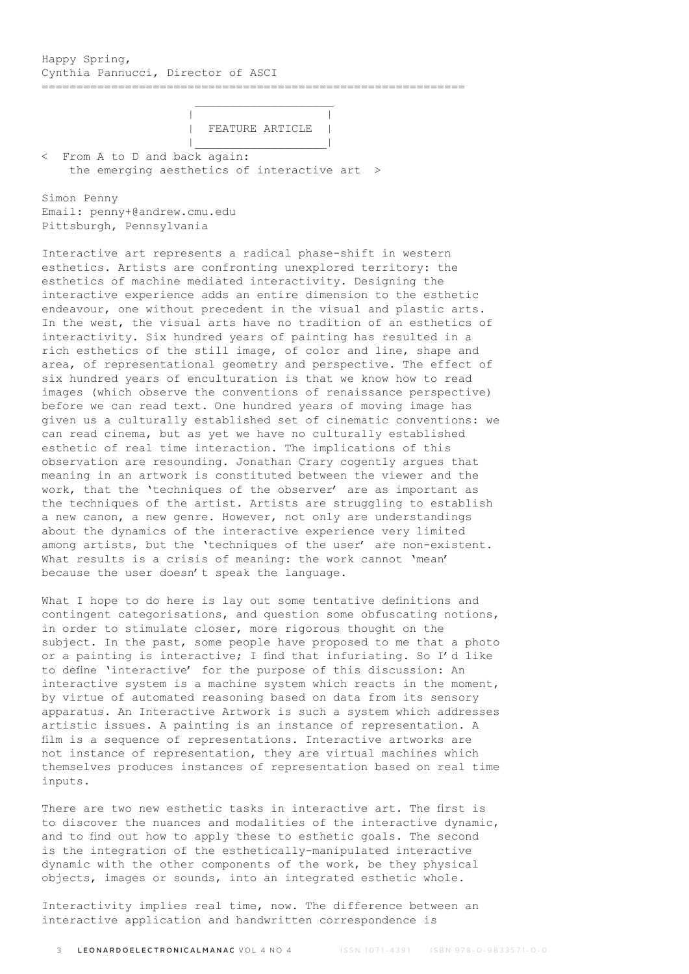| | | FEATURE ARTICLE | |\_\_\_\_\_\_\_\_\_\_\_\_\_\_\_\_\_\_\_|

< From A to D and back again: the emerging aesthetics of interactive art >

 $\mathcal{L}_\text{max}$  and  $\mathcal{L}_\text{max}$  are the set of  $\mathcal{L}_\text{max}$  . The set of  $\mathcal{L}_\text{max}$ 

Simon Penny Email: penny+@andrew.cmu.edu Pittsburgh, Pennsylvania

Interactive art represents a radical phase-shift in western esthetics. Artists are confronting unexplored territory: the esthetics of machine mediated interactivity. Designing the interactive experience adds an entire dimension to the esthetic endeavour, one without precedent in the visual and plastic arts. In the west, the visual arts have no tradition of an esthetics of interactivity. Six hundred years of painting has resulted in a rich esthetics of the still image, of color and line, shape and area, of representational geometry and perspective. The effect of six hundred years of enculturation is that we know how to read images (which observe the conventions of renaissance perspective) before we can read text. One hundred years of moving image has given us a culturally established set of cinematic conventions: we can read cinema, but as yet we have no culturally established esthetic of real time interaction. The implications of this observation are resounding. Jonathan Crary cogently argues that meaning in an artwork is constituted between the viewer and the work, that the 'techniques of the observer' are as important as the techniques of the artist. Artists are struggling to establish a new canon, a new genre. However, not only are understandings about the dynamics of the interactive experience very limited among artists, but the 'techniques of the user' are non-existent. What results is a crisis of meaning: the work cannot 'mean' because the user doesn't speak the language.

What I hope to do here is lay out some tentative definitions and contingent categorisations, and question some obfuscating notions, in order to stimulate closer, more rigorous thought on the subject. In the past, some people have proposed to me that a photo or a painting is interactive; I find that infuriating. So I'd like to define 'interactive' for the purpose of this discussion: An interactive system is a machine system which reacts in the moment, by virtue of automated reasoning based on data from its sensory apparatus. An Interactive Artwork is such a system which addresses artistic issues. A painting is an instance of representation. A film is a sequence of representations. Interactive artworks are not instance of representation, they are virtual machines which themselves produces instances of representation based on real time inputs.

There are two new esthetic tasks in interactive art. The first is to discover the nuances and modalities of the interactive dynamic, and to find out how to apply these to esthetic goals. The second is the integration of the esthetically-manipulated interactive dynamic with the other components of the work, be they physical objects, images or sounds, into an integrated esthetic whole.

Interactivity implies real time, now. The difference between an interactive application and handwritten correspondence is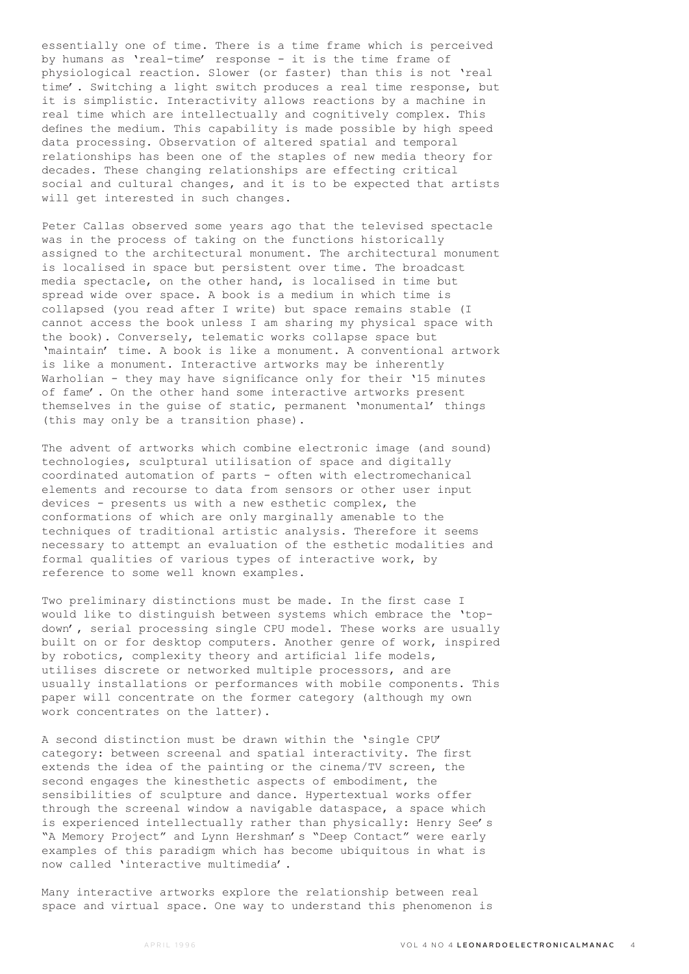essentially one of time. There is a time frame which is perceived by humans as 'real-time' response - it is the time frame of physiological reaction. Slower (or faster) than this is not 'real time'. Switching a light switch produces a real time response, but it is simplistic. Interactivity allows reactions by a machine in real time which are intellectually and cognitively complex. This defines the medium. This capability is made possible by high speed data processing. Observation of altered spatial and temporal relationships has been one of the staples of new media theory for decades. These changing relationships are effecting critical social and cultural changes, and it is to be expected that artists will get interested in such changes.

Peter Callas observed some years ago that the televised spectacle was in the process of taking on the functions historically assigned to the architectural monument. The architectural monument is localised in space but persistent over time. The broadcast media spectacle, on the other hand, is localised in time but spread wide over space. A book is a medium in which time is collapsed (you read after I write) but space remains stable (I cannot access the book unless I am sharing my physical space with the book). Conversely, telematic works collapse space but 'maintain' time. A book is like a monument. A conventional artwork is like a monument. Interactive artworks may be inherently Warholian - they may have significance only for their '15 minutes of fame'. On the other hand some interactive artworks present themselves in the guise of static, permanent 'monumental' things (this may only be a transition phase).

The advent of artworks which combine electronic image (and sound) technologies, sculptural utilisation of space and digitally coordinated automation of parts - often with electromechanical elements and recourse to data from sensors or other user input devices - presents us with a new esthetic complex, the conformations of which are only marginally amenable to the techniques of traditional artistic analysis. Therefore it seems necessary to attempt an evaluation of the esthetic modalities and formal qualities of various types of interactive work, by reference to some well known examples.

Two preliminary distinctions must be made. In the first case I would like to distinguish between systems which embrace the 'topdown', serial processing single CPU model. These works are usually built on or for desktop computers. Another genre of work, inspired by robotics, complexity theory and artificial life models, utilises discrete or networked multiple processors, and are usually installations or performances with mobile components. This paper will concentrate on the former category (although my own work concentrates on the latter).

A second distinction must be drawn within the 'single CPU' category: between screenal and spatial interactivity. The first extends the idea of the painting or the cinema/TV screen, the second engages the kinesthetic aspects of embodiment, the sensibilities of sculpture and dance. Hypertextual works offer through the screenal window a navigable dataspace, a space which is experienced intellectually rather than physically: Henry See's "A Memory Project" and Lynn Hershman's "Deep Contact" were early examples of this paradigm which has become ubiquitous in what is now called 'interactive multimedia'.

Many interactive artworks explore the relationship between real space and virtual space. One way to understand this phenomenon is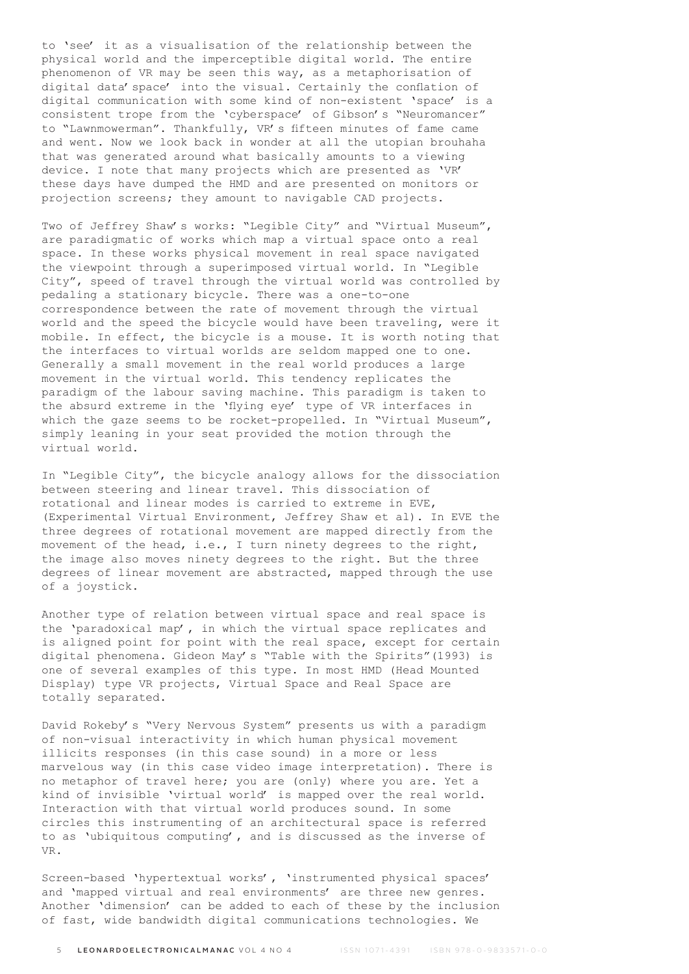to 'see' it as a visualisation of the relationship between the physical world and the imperceptible digital world. The entire phenomenon of VR may be seen this way, as a metaphorisation of digital data'space' into the visual. Certainly the conflation of digital communication with some kind of non-existent 'space' is a consistent trope from the 'cyberspace' of Gibson's "Neuromancer" to "Lawnmowerman". Thankfully, VR's fifteen minutes of fame came and went. Now we look back in wonder at all the utopian brouhaha that was generated around what basically amounts to a viewing device. I note that many projects which are presented as 'VR' these days have dumped the HMD and are presented on monitors or projection screens; they amount to navigable CAD projects.

Two of Jeffrey Shaw's works: "Legible City" and "Virtual Museum", are paradigmatic of works which map a virtual space onto a real space. In these works physical movement in real space navigated the viewpoint through a superimposed virtual world. In "Legible City", speed of travel through the virtual world was controlled by pedaling a stationary bicycle. There was a one-to-one correspondence between the rate of movement through the virtual world and the speed the bicycle would have been traveling, were it mobile. In effect, the bicycle is a mouse. It is worth noting that the interfaces to virtual worlds are seldom mapped one to one. Generally a small movement in the real world produces a large movement in the virtual world. This tendency replicates the paradigm of the labour saving machine. This paradigm is taken to the absurd extreme in the 'flying eye' type of VR interfaces in which the gaze seems to be rocket-propelled. In "Virtual Museum", simply leaning in your seat provided the motion through the virtual world.

In "Legible City", the bicycle analogy allows for the dissociation between steering and linear travel. This dissociation of rotational and linear modes is carried to extreme in EVE, (Experimental Virtual Environment, Jeffrey Shaw et al). In EVE the three degrees of rotational movement are mapped directly from the movement of the head, i.e., I turn ninety degrees to the right, the image also moves ninety degrees to the right. But the three degrees of linear movement are abstracted, mapped through the use of a joystick.

Another type of relation between virtual space and real space is the 'paradoxical map', in which the virtual space replicates and is aligned point for point with the real space, except for certain digital phenomena. Gideon May's "Table with the Spirits"(1993) is one of several examples of this type. In most HMD (Head Mounted Display) type VR projects, Virtual Space and Real Space are totally separated.

David Rokeby's "Very Nervous System" presents us with a paradigm of non-visual interactivity in which human physical movement illicits responses (in this case sound) in a more or less marvelous way (in this case video image interpretation). There is no metaphor of travel here; you are (only) where you are. Yet a kind of invisible 'virtual world' is mapped over the real world. Interaction with that virtual world produces sound. In some circles this instrumenting of an architectural space is referred to as 'ubiquitous computing', and is discussed as the inverse of VR.

Screen-based 'hypertextual works', 'instrumented physical spaces' and 'mapped virtual and real environments' are three new genres. Another 'dimension' can be added to each of these by the inclusion of fast, wide bandwidth digital communications technologies. We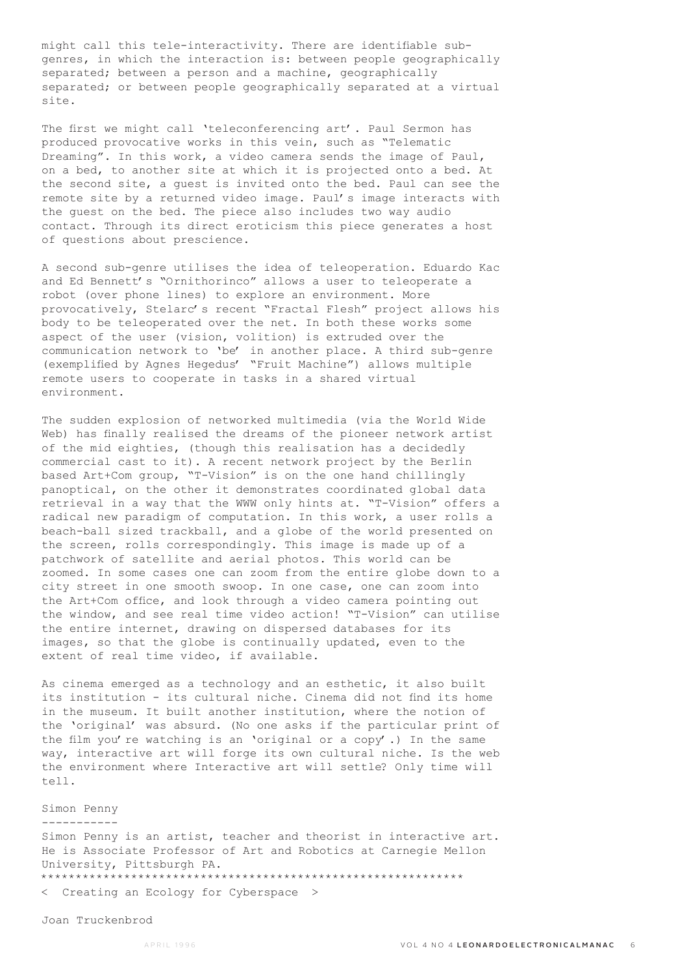might call this tele-interactivity. There are identifiable subgenres, in which the interaction is: between people geographically separated; between a person and a machine, geographically separated; or between people geographically separated at a virtual site.

The first we might call 'teleconferencing art'. Paul Sermon has produced provocative works in this vein, such as "Telematic Dreaming". In this work, a video camera sends the image of Paul, on a bed, to another site at which it is projected onto a bed. At the second site, a guest is invited onto the bed. Paul can see the remote site by a returned video image. Paul's image interacts with the guest on the bed. The piece also includes two way audio contact. Through its direct eroticism this piece generates a host of questions about prescience.

A second sub-genre utilises the idea of teleoperation. Eduardo Kac and Ed Bennett's "Ornithorinco" allows a user to teleoperate a robot (over phone lines) to explore an environment. More provocatively, Stelarc's recent "Fractal Flesh" project allows his body to be teleoperated over the net. In both these works some aspect of the user (vision, volition) is extruded over the communication network to 'be' in another place. A third sub-genre (exemplified by Agnes Hegedus' "Fruit Machine") allows multiple remote users to cooperate in tasks in a shared virtual environment.

The sudden explosion of networked multimedia (via the World Wide Web) has finally realised the dreams of the pioneer network artist of the mid eighties, (though this realisation has a decidedly commercial cast to it). A recent network project by the Berlin based Art+Com group, "T-Vision" is on the one hand chillingly panoptical, on the other it demonstrates coordinated global data retrieval in a way that the WWW only hints at. "T-Vision" offers a radical new paradigm of computation. In this work, a user rolls a beach-ball sized trackball, and a globe of the world presented on the screen, rolls correspondingly. This image is made up of a patchwork of satellite and aerial photos. This world can be zoomed. In some cases one can zoom from the entire globe down to a city street in one smooth swoop. In one case, one can zoom into the Art+Com office, and look through a video camera pointing out the window, and see real time video action! "T-Vision" can utilise the entire internet, drawing on dispersed databases for its images, so that the globe is continually updated, even to the extent of real time video, if available.

As cinema emerged as a technology and an esthetic, it also built its institution - its cultural niche. Cinema did not find its home in the museum. It built another institution, where the notion of the 'original' was absurd. (No one asks if the particular print of the film you're watching is an 'original or a copy'.) In the same way, interactive art will forge its own cultural niche. Is the web the environment where Interactive art will settle? Only time will tell.

Simon Penny -----------

Simon Penny is an artist, teacher and theorist in interactive art. He is Associate Professor of Art and Robotics at Carnegie Mellon University, Pittsburgh PA. \*\*\*\*\*\*\*\*\*\*\*\*\*\*\*\*\*\*\*\*\*\*\*\*\*\*\*\*\*\*\*\*\*\*\*\*\*\*\*\*\*\*\*\*\*\*\*\*\*\*\*\*\*\*\*\*\*\*\*\*\* < Creating an Ecology for Cyberspace >

Joan Truckenbrod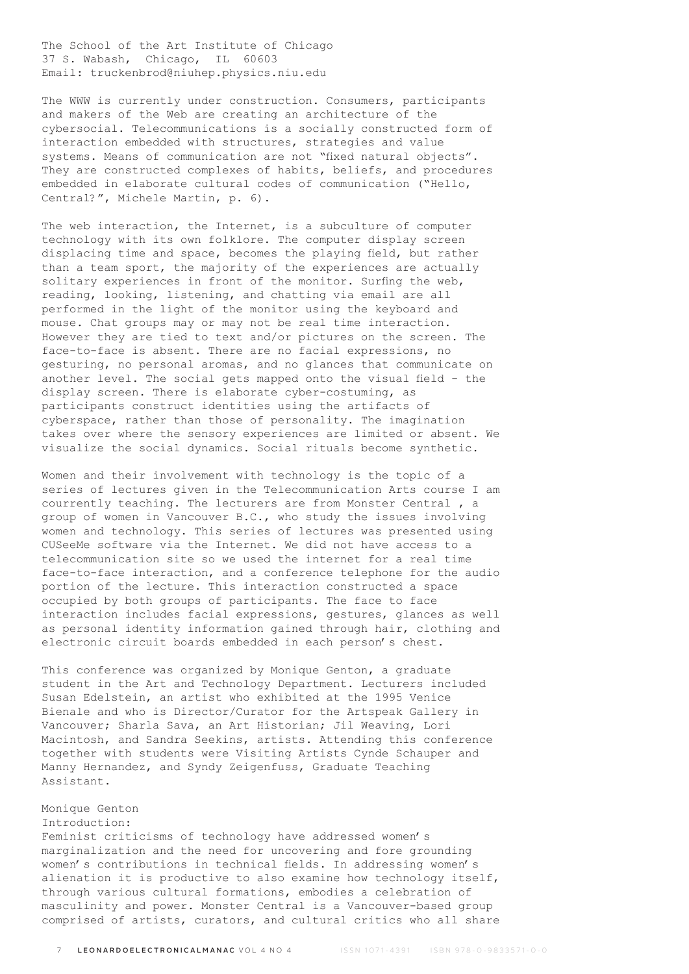The School of the Art Institute of Chicago 37 S. Wabash, Chicago, IL 60603 Email: truckenbrod@niuhep.physics.niu.edu

The WWW is currently under construction. Consumers, participants and makers of the Web are creating an architecture of the cybersocial. Telecommunications is a socially constructed form of interaction embedded with structures, strategies and value systems. Means of communication are not "fixed natural objects". They are constructed complexes of habits, beliefs, and procedures embedded in elaborate cultural codes of communication ("Hello, Central?", Michele Martin, p. 6).

The web interaction, the Internet, is a subculture of computer technology with its own folklore. The computer display screen displacing time and space, becomes the playing field, but rather than a team sport, the majority of the experiences are actually solitary experiences in front of the monitor. Surfing the web, reading, looking, listening, and chatting via email are all performed in the light of the monitor using the keyboard and mouse. Chat groups may or may not be real time interaction. However they are tied to text and/or pictures on the screen. The face-to-face is absent. There are no facial expressions, no gesturing, no personal aromas, and no glances that communicate on another level. The social gets mapped onto the visual field - the display screen. There is elaborate cyber-costuming, as participants construct identities using the artifacts of cyberspace, rather than those of personality. The imagination takes over where the sensory experiences are limited or absent. We visualize the social dynamics. Social rituals become synthetic.

Women and their involvement with technology is the topic of a series of lectures given in the Telecommunication Arts course I am courrently teaching. The lecturers are from Monster Central , a group of women in Vancouver B.C., who study the issues involving women and technology. This series of lectures was presented using CUSeeMe software via the Internet. We did not have access to a telecommunication site so we used the internet for a real time face-to-face interaction, and a conference telephone for the audio portion of the lecture. This interaction constructed a space occupied by both groups of participants. The face to face interaction includes facial expressions, gestures, glances as well as personal identity information gained through hair, clothing and electronic circuit boards embedded in each person's chest.

This conference was organized by Monique Genton, a graduate student in the Art and Technology Department. Lecturers included Susan Edelstein, an artist who exhibited at the 1995 Venice Bienale and who is Director/Curator for the Artspeak Gallery in Vancouver; Sharla Sava, an Art Historian; Jil Weaving, Lori Macintosh, and Sandra Seekins, artists. Attending this conference together with students were Visiting Artists Cynde Schauper and Manny Hernandez, and Syndy Zeigenfuss, Graduate Teaching Assistant.

Monique Genton Introduction: Feminist criticisms of technology have addressed women's marginalization and the need for uncovering and fore grounding women's contributions in technical fields. In addressing women's alienation it is productive to also examine how technology itself, through various cultural formations, embodies a celebration of masculinity and power. Monster Central is a Vancouver-based group comprised of artists, curators, and cultural critics who all share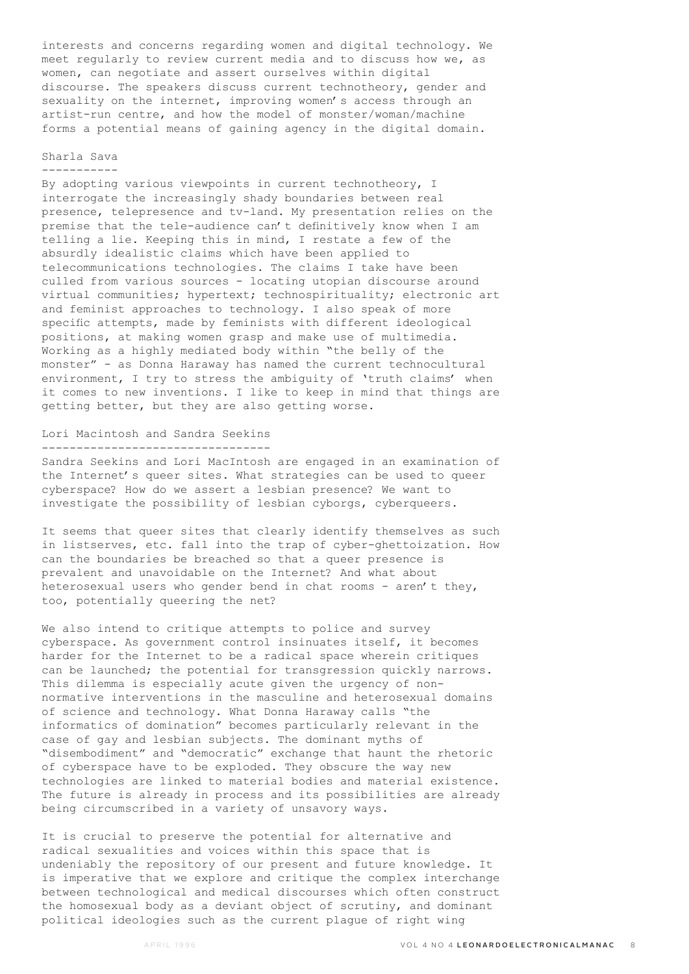interests and concerns regarding women and digital technology. We meet regularly to review current media and to discuss how we, as women, can negotiate and assert ourselves within digital discourse. The speakers discuss current technotheory, gender and sexuality on the internet, improving women's access through an artist-run centre, and how the model of monster/woman/machine forms a potential means of gaining agency in the digital domain.

# Sharla Sava

----------- By adopting various viewpoints in current technotheory, I interrogate the increasingly shady boundaries between real presence, telepresence and tv-land. My presentation relies on the premise that the tele-audience can't definitively know when I am telling a lie. Keeping this in mind, I restate a few of the absurdly idealistic claims which have been applied to telecommunications technologies. The claims I take have been culled from various sources - locating utopian discourse around virtual communities; hypertext; technospirituality; electronic art and feminist approaches to technology. I also speak of more specific attempts, made by feminists with different ideological positions, at making women grasp and make use of multimedia. Working as a highly mediated body within "the belly of the monster" - as Donna Haraway has named the current technocultural environment, I try to stress the ambiguity of 'truth claims' when it comes to new inventions. I like to keep in mind that things are getting better, but they are also getting worse.

### Lori Macintosh and Sandra Seekins

---------------------------------

Sandra Seekins and Lori MacIntosh are engaged in an examination of the Internet's queer sites. What strategies can be used to queer cyberspace? How do we assert a lesbian presence? We want to investigate the possibility of lesbian cyborgs, cyberqueers.

It seems that queer sites that clearly identify themselves as such in listserves, etc. fall into the trap of cyber-ghettoization. How can the boundaries be breached so that a queer presence is prevalent and unavoidable on the Internet? And what about heterosexual users who gender bend in chat rooms - aren't they, too, potentially queering the net?

We also intend to critique attempts to police and survey cyberspace. As government control insinuates itself, it becomes harder for the Internet to be a radical space wherein critiques can be launched; the potential for transgression quickly narrows. This dilemma is especially acute given the urgency of nonnormative interventions in the masculine and heterosexual domains of science and technology. What Donna Haraway calls "the informatics of domination" becomes particularly relevant in the case of gay and lesbian subjects. The dominant myths of "disembodiment" and "democratic" exchange that haunt the rhetoric of cyberspace have to be exploded. They obscure the way new technologies are linked to material bodies and material existence. The future is already in process and its possibilities are already being circumscribed in a variety of unsavory ways.

It is crucial to preserve the potential for alternative and radical sexualities and voices within this space that is undeniably the repository of our present and future knowledge. It is imperative that we explore and critique the complex interchange between technological and medical discourses which often construct the homosexual body as a deviant object of scrutiny, and dominant political ideologies such as the current plague of right wing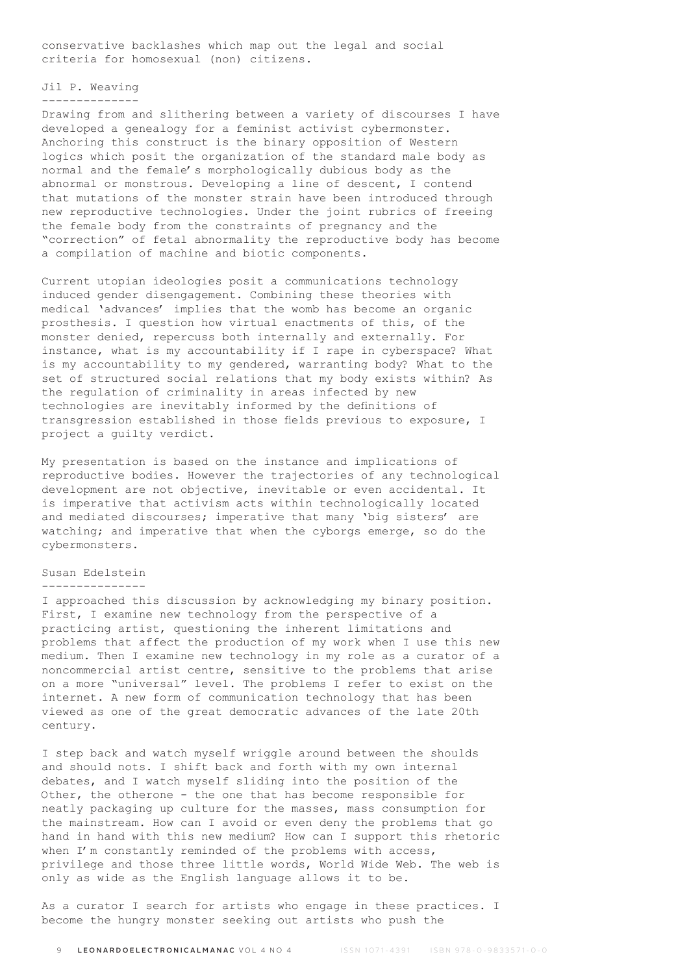conservative backlashes which map out the legal and social criteria for homosexual (non) citizens.

#### Jil P. Weaving --------------

Drawing from and slithering between a variety of discourses I have developed a genealogy for a feminist activist cybermonster. Anchoring this construct is the binary opposition of Western logics which posit the organization of the standard male body as normal and the female's morphologically dubious body as the abnormal or monstrous. Developing a line of descent, I contend that mutations of the monster strain have been introduced through new reproductive technologies. Under the joint rubrics of freeing the female body from the constraints of pregnancy and the "correction" of fetal abnormality the reproductive body has become a compilation of machine and biotic components.

Current utopian ideologies posit a communications technology induced gender disengagement. Combining these theories with medical 'advances' implies that the womb has become an organic prosthesis. I question how virtual enactments of this, of the monster denied, repercuss both internally and externally. For instance, what is my accountability if I rape in cyberspace? What is my accountability to my gendered, warranting body? What to the set of structured social relations that my body exists within? As the regulation of criminality in areas infected by new technologies are inevitably informed by the definitions of transgression established in those fields previous to exposure, I project a guilty verdict.

My presentation is based on the instance and implications of reproductive bodies. However the trajectories of any technological development are not objective, inevitable or even accidental. It is imperative that activism acts within technologically located and mediated discourses; imperative that many 'big sisters' are watching; and imperative that when the cyborgs emerge, so do the cybermonsters.

# Susan Edelstein

### ---------------

I approached this discussion by acknowledging my binary position. First, I examine new technology from the perspective of a practicing artist, questioning the inherent limitations and problems that affect the production of my work when I use this new medium. Then I examine new technology in my role as a curator of a noncommercial artist centre, sensitive to the problems that arise on a more "universal" level. The problems I refer to exist on the internet. A new form of communication technology that has been viewed as one of the great democratic advances of the late 20th century.

I step back and watch myself wriggle around between the shoulds and should nots. I shift back and forth with my own internal debates, and I watch myself sliding into the position of the Other, the otherone - the one that has become responsible for neatly packaging up culture for the masses, mass consumption for the mainstream. How can I avoid or even deny the problems that go hand in hand with this new medium? How can I support this rhetoric when I'm constantly reminded of the problems with access, privilege and those three little words, World Wide Web. The web is only as wide as the English language allows it to be.

As a curator I search for artists who engage in these practices. I become the hungry monster seeking out artists who push the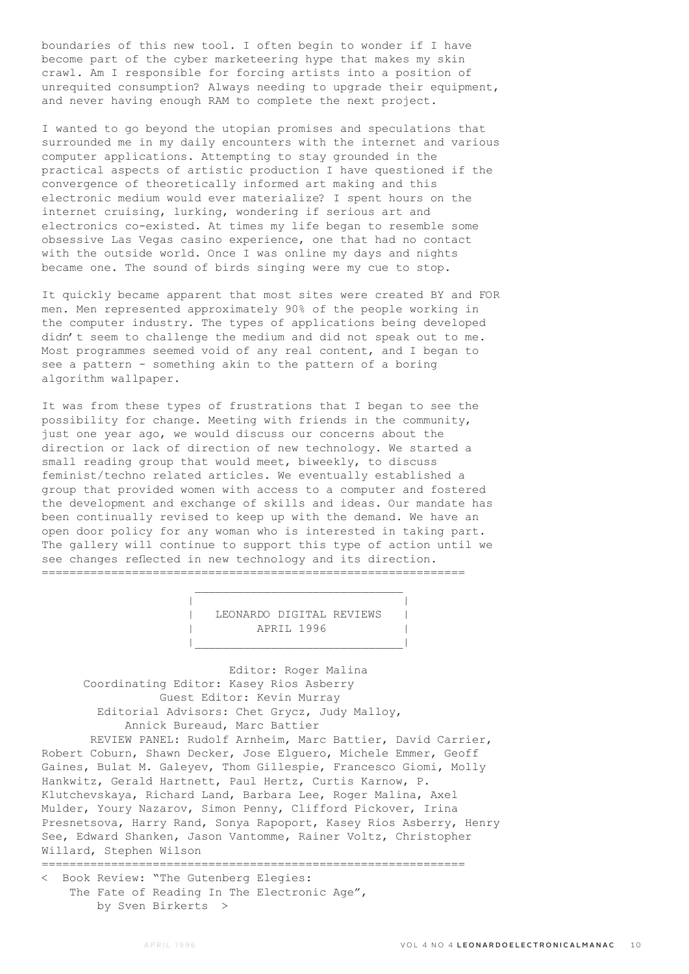boundaries of this new tool. I often begin to wonder if I have become part of the cyber marketeering hype that makes my skin crawl. Am I responsible for forcing artists into a position of unrequited consumption? Always needing to upgrade their equipment, and never having enough RAM to complete the next project.

I wanted to go beyond the utopian promises and speculations that surrounded me in my daily encounters with the internet and various computer applications. Attempting to stay grounded in the practical aspects of artistic production I have questioned if the convergence of theoretically informed art making and this electronic medium would ever materialize? I spent hours on the internet cruising, lurking, wondering if serious art and electronics co-existed. At times my life began to resemble some obsessive Las Vegas casino experience, one that had no contact with the outside world. Once I was online my days and nights became one. The sound of birds singing were my cue to stop.

It quickly became apparent that most sites were created BY and FOR men. Men represented approximately 90% of the people working in the computer industry. The types of applications being developed didn't seem to challenge the medium and did not speak out to me. Most programmes seemed void of any real content, and I began to see a pattern - something akin to the pattern of a boring algorithm wallpaper.

It was from these types of frustrations that I began to see the possibility for change. Meeting with friends in the community, just one year ago, we would discuss our concerns about the direction or lack of direction of new technology. We started a small reading group that would meet, biweekly, to discuss feminist/techno related articles. We eventually established a group that provided women with access to a computer and fostered the development and exchange of skills and ideas. Our mandate has been continually revised to keep up with the demand. We have an open door policy for any woman who is interested in taking part. The gallery will continue to support this type of action until we see changes reflected in new technology and its direction. =============================================================

 | | | LEONARDO DIGITAL REVIEWS | | APRIL 1996 | |\_\_\_\_\_\_\_\_\_\_\_\_\_\_\_\_\_\_\_\_\_\_\_\_\_\_\_\_\_\_|

> Editor: Roger Malina Coordinating Editor: Kasey Rios Asberry Guest Editor: Kevin Murray Editorial Advisors: Chet Grycz, Judy Malloy, Annick Bureaud, Marc Battier

 $\mathcal{L}_\text{max}$  and  $\mathcal{L}_\text{max}$  and  $\mathcal{L}_\text{max}$  and  $\mathcal{L}_\text{max}$ 

 REVIEW PANEL: Rudolf Arnheim, Marc Battier, David Carrier, Robert Coburn, Shawn Decker, Jose Elguero, Michele Emmer, Geoff Gaines, Bulat M. Galeyev, Thom Gillespie, Francesco Giomi, Molly Hankwitz, Gerald Hartnett, Paul Hertz, Curtis Karnow, P. Klutchevskaya, Richard Land, Barbara Lee, Roger Malina, Axel Mulder, Youry Nazarov, Simon Penny, Clifford Pickover, Irina Presnetsova, Harry Rand, Sonya Rapoport, Kasey Rios Asberry, Henry See, Edward Shanken, Jason Vantomme, Rainer Voltz, Christopher Willard, Stephen Wilson

=============================================================

< Book Review: "The Gutenberg Elegies: The Fate of Reading In The Electronic Age", by Sven Birkerts >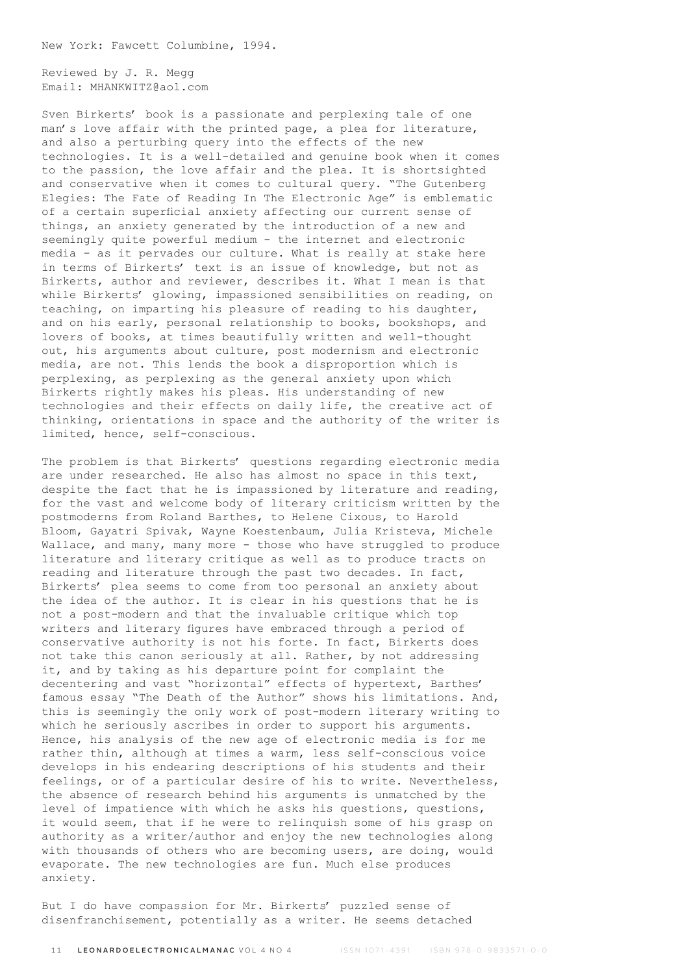New York: Fawcett Columbine, 1994.

Reviewed by J. R. Megg Email: MHANKWITZ@aol.com

Sven Birkerts' book is a passionate and perplexing tale of one man's love affair with the printed page, a plea for literature, and also a perturbing query into the effects of the new technologies. It is a well-detailed and genuine book when it comes to the passion, the love affair and the plea. It is shortsighted and conservative when it comes to cultural query. "The Gutenberg Elegies: The Fate of Reading In The Electronic Age" is emblematic of a certain superficial anxiety affecting our current sense of things, an anxiety generated by the introduction of a new and seemingly quite powerful medium - the internet and electronic media - as it pervades our culture. What is really at stake here in terms of Birkerts' text is an issue of knowledge, but not as Birkerts, author and reviewer, describes it. What I mean is that while Birkerts' glowing, impassioned sensibilities on reading, on teaching, on imparting his pleasure of reading to his daughter, and on his early, personal relationship to books, bookshops, and lovers of books, at times beautifully written and well-thought out, his arguments about culture, post modernism and electronic media, are not. This lends the book a disproportion which is perplexing, as perplexing as the general anxiety upon which Birkerts rightly makes his pleas. His understanding of new technologies and their effects on daily life, the creative act of thinking, orientations in space and the authority of the writer is limited, hence, self-conscious.

The problem is that Birkerts' questions regarding electronic media are under researched. He also has almost no space in this text, despite the fact that he is impassioned by literature and reading, for the vast and welcome body of literary criticism written by the postmoderns from Roland Barthes, to Helene Cixous, to Harold Bloom, Gayatri Spivak, Wayne Koestenbaum, Julia Kristeva, Michele Wallace, and many, many more - those who have struggled to produce literature and literary critique as well as to produce tracts on reading and literature through the past two decades. In fact, Birkerts' plea seems to come from too personal an anxiety about the idea of the author. It is clear in his questions that he is not a post-modern and that the invaluable critique which top writers and literary figures have embraced through a period of conservative authority is not his forte. In fact, Birkerts does not take this canon seriously at all. Rather, by not addressing it, and by taking as his departure point for complaint the decentering and vast "horizontal" effects of hypertext, Barthes' famous essay "The Death of the Author" shows his limitations. And, this is seemingly the only work of post-modern literary writing to which he seriously ascribes in order to support his arguments. Hence, his analysis of the new age of electronic media is for me rather thin, although at times a warm, less self-conscious voice develops in his endearing descriptions of his students and their feelings, or of a particular desire of his to write. Nevertheless, the absence of research behind his arguments is unmatched by the level of impatience with which he asks his questions, questions, it would seem, that if he were to relinquish some of his grasp on authority as a writer/author and enjoy the new technologies along with thousands of others who are becoming users, are doing, would evaporate. The new technologies are fun. Much else produces anxiety.

But I do have compassion for Mr. Birkerts' puzzled sense of disenfranchisement, potentially as a writer. He seems detached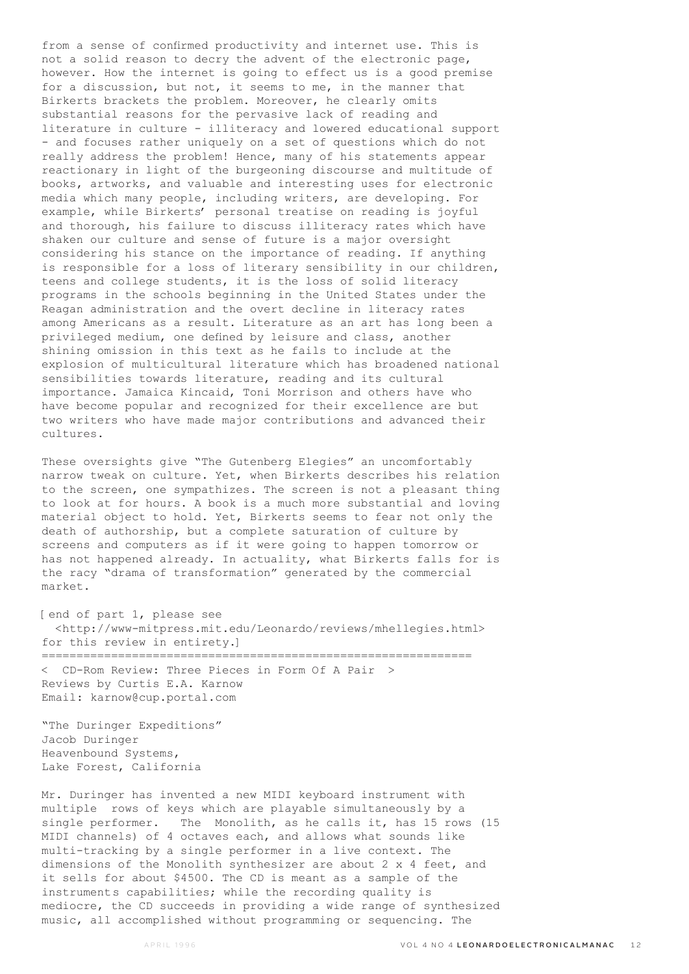from a sense of confirmed productivity and internet use. This is not a solid reason to decry the advent of the electronic page, however. How the internet is going to effect us is a good premise for a discussion, but not, it seems to me, in the manner that Birkerts brackets the problem. Moreover, he clearly omits substantial reasons for the pervasive lack of reading and literature in culture - illiteracy and lowered educational support - and focuses rather uniquely on a set of questions which do not really address the problem! Hence, many of his statements appear reactionary in light of the burgeoning discourse and multitude of books, artworks, and valuable and interesting uses for electronic media which many people, including writers, are developing. For example, while Birkerts' personal treatise on reading is joyful and thorough, his failure to discuss illiteracy rates which have shaken our culture and sense of future is a major oversight considering his stance on the importance of reading. If anything is responsible for a loss of literary sensibility in our children, teens and college students, it is the loss of solid literacy programs in the schools beginning in the United States under the Reagan administration and the overt decline in literacy rates among Americans as a result. Literature as an art has long been a privileged medium, one defined by leisure and class, another shining omission in this text as he fails to include at the explosion of multicultural literature which has broadened national sensibilities towards literature, reading and its cultural importance. Jamaica Kincaid, Toni Morrison and others have who have become popular and recognized for their excellence are but two writers who have made major contributions and advanced their cultures.

These oversights give "The Gutenberg Elegies" an uncomfortably narrow tweak on culture. Yet, when Birkerts describes his relation to the screen, one sympathizes. The screen is not a pleasant thing to look at for hours. A book is a much more substantial and loving material object to hold. Yet, Birkerts seems to fear not only the death of authorship, but a complete saturation of culture by screens and computers as if it were going to happen tomorrow or has not happened already. In actuality, what Birkerts falls for is the racy "drama of transformation" generated by the commercial market.

[end of part 1, please see <http://www-mitpress.mit.edu/Leonardo/reviews/mhellegies.html> for this review in entirety.] ==============================================================

< CD-Rom Review: Three Pieces in Form Of A Pair > Reviews by Curtis E.A. Karnow Email: karnow@cup.portal.com

"The Duringer Expeditions" Jacob Duringer Heavenbound Systems, Lake Forest, California

Mr. Duringer has invented a new MIDI keyboard instrument with multiple rows of keys which are playable simultaneously by a single performer. The Monolith, as he calls it, has 15 rows (15 MIDI channels) of 4 octaves each, and allows what sounds like multi-tracking by a single performer in a live context. The dimensions of the Monolith synthesizer are about 2 x 4 feet, and it sells for about \$4500. The CD is meant as a sample of the instruments capabilities; while the recording quality is mediocre, the CD succeeds in providing a wide range of synthesized music, all accomplished without programming or sequencing. The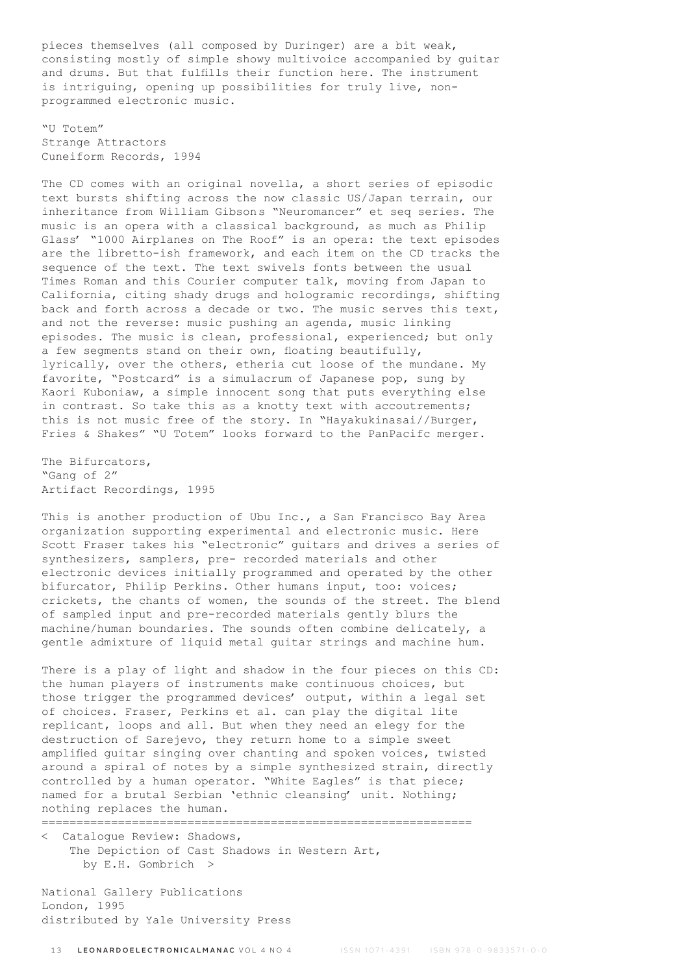pieces themselves (all composed by Duringer) are a bit weak, consisting mostly of simple showy multivoice accompanied by guitar and drums. But that fulfills their function here. The instrument is intriguing, opening up possibilities for truly live, nonprogrammed electronic music.

"U Totem" Strange Attractors Cuneiform Records, 1994

The CD comes with an original novella, a short series of episodic text bursts shifting across the now classic US/Japan terrain, our inheritance from William Gibsons "Neuromancer" et seq series. The music is an opera with a classical background, as much as Philip Glass' "1000 Airplanes on The Roof" is an opera: the text episodes are the libretto-ish framework, and each item on the CD tracks the sequence of the text. The text swivels fonts between the usual Times Roman and this Courier computer talk, moving from Japan to California, citing shady drugs and hologramic recordings, shifting back and forth across a decade or two. The music serves this text, and not the reverse: music pushing an agenda, music linking episodes. The music is clean, professional, experienced; but only a few segments stand on their own, floating beautifully, lyrically, over the others, etheria cut loose of the mundane. My favorite, "Postcard" is a simulacrum of Japanese pop, sung by Kaori Kuboniaw, a simple innocent song that puts everything else in contrast. So take this as a knotty text with accoutrements; this is not music free of the story. In "Hayakukinasai//Burger, Fries & Shakes" "U Totem" looks forward to the PanPacifc merger.

The Bifurcators, "Gang of 2" Artifact Recordings, 1995

This is another production of Ubu Inc., a San Francisco Bay Area organization supporting experimental and electronic music. Here Scott Fraser takes his "electronic" guitars and drives a series of synthesizers, samplers, pre- recorded materials and other electronic devices initially programmed and operated by the other bifurcator, Philip Perkins. Other humans input, too: voices; crickets, the chants of women, the sounds of the street. The blend of sampled input and pre-recorded materials gently blurs the machine/human boundaries. The sounds often combine delicately, a gentle admixture of liquid metal guitar strings and machine hum.

There is a play of light and shadow in the four pieces on this CD: the human players of instruments make continuous choices, but those trigger the programmed devices' output, within a legal set of choices. Fraser, Perkins et al. can play the digital lite replicant, loops and all. But when they need an elegy for the destruction of Sarejevo, they return home to a simple sweet amplified guitar singing over chanting and spoken voices, twisted around a spiral of notes by a simple synthesized strain, directly controlled by a human operator. "White Eagles" is that piece; named for a brutal Serbian 'ethnic cleansing' unit. Nothing; nothing replaces the human. ==============================================================

Catalogue Review: Shadows, The Depiction of Cast Shadows in Western Art, by E.H. Gombrich >

National Gallery Publications London, 1995 distributed by Yale University Press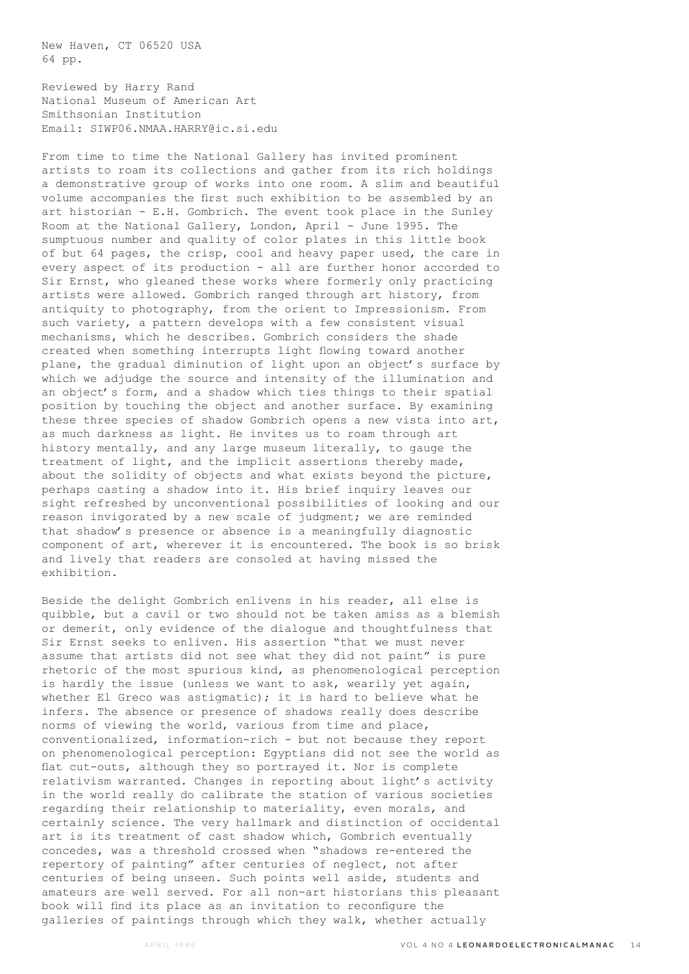New Haven, CT 06520 USA 64 pp.

Reviewed by Harry Rand National Museum of American Art Smithsonian Institution Email: SIWP06.NMAA.HARRY@ic.si.edu

From time to time the National Gallery has invited prominent artists to roam its collections and gather from its rich holdings a demonstrative group of works into one room. A slim and beautiful volume accompanies the first such exhibition to be assembled by an art historian - E.H. Gombrich. The event took place in the Sunley Room at the National Gallery, London, April - June 1995. The sumptuous number and quality of color plates in this little book of but 64 pages, the crisp, cool and heavy paper used, the care in every aspect of its production - all are further honor accorded to Sir Ernst, who gleaned these works where formerly only practicing artists were allowed. Gombrich ranged through art history, from antiquity to photography, from the orient to Impressionism. From such variety, a pattern develops with a few consistent visual mechanisms, which he describes. Gombrich considers the shade created when something interrupts light flowing toward another plane, the gradual diminution of light upon an object's surface by which we adjudge the source and intensity of the illumination and an object's form, and a shadow which ties things to their spatial position by touching the object and another surface. By examining these three species of shadow Gombrich opens a new vista into art, as much darkness as light. He invites us to roam through art history mentally, and any large museum literally, to gauge the treatment of light, and the implicit assertions thereby made, about the solidity of objects and what exists beyond the picture, perhaps casting a shadow into it. His brief inquiry leaves our sight refreshed by unconventional possibilities of looking and our reason invigorated by a new scale of judgment; we are reminded that shadow's presence or absence is a meaningfully diagnostic component of art, wherever it is encountered. The book is so brisk and lively that readers are consoled at having missed the exhibition.

Beside the delight Gombrich enlivens in his reader, all else is quibble, but a cavil or two should not be taken amiss as a blemish or demerit, only evidence of the dialogue and thoughtfulness that Sir Ernst seeks to enliven. His assertion "that we must never assume that artists did not see what they did not paint" is pure rhetoric of the most spurious kind, as phenomenological perception is hardly the issue (unless we want to ask, wearily yet again, whether El Greco was astigmatic); it is hard to believe what he infers. The absence or presence of shadows really does describe norms of viewing the world, various from time and place, conventionalized, information-rich - but not because they report on phenomenological perception: Egyptians did not see the world as flat cut-outs, although they so portrayed it. Nor is complete relativism warranted. Changes in reporting about light's activity in the world really do calibrate the station of various societies regarding their relationship to materiality, even morals, and certainly science. The very hallmark and distinction of occidental art is its treatment of cast shadow which, Gombrich eventually concedes, was a threshold crossed when "shadows re-entered the repertory of painting" after centuries of neglect, not after centuries of being unseen. Such points well aside, students and amateurs are well served. For all non-art historians this pleasant book will find its place as an invitation to reconfigure the galleries of paintings through which they walk, whether actually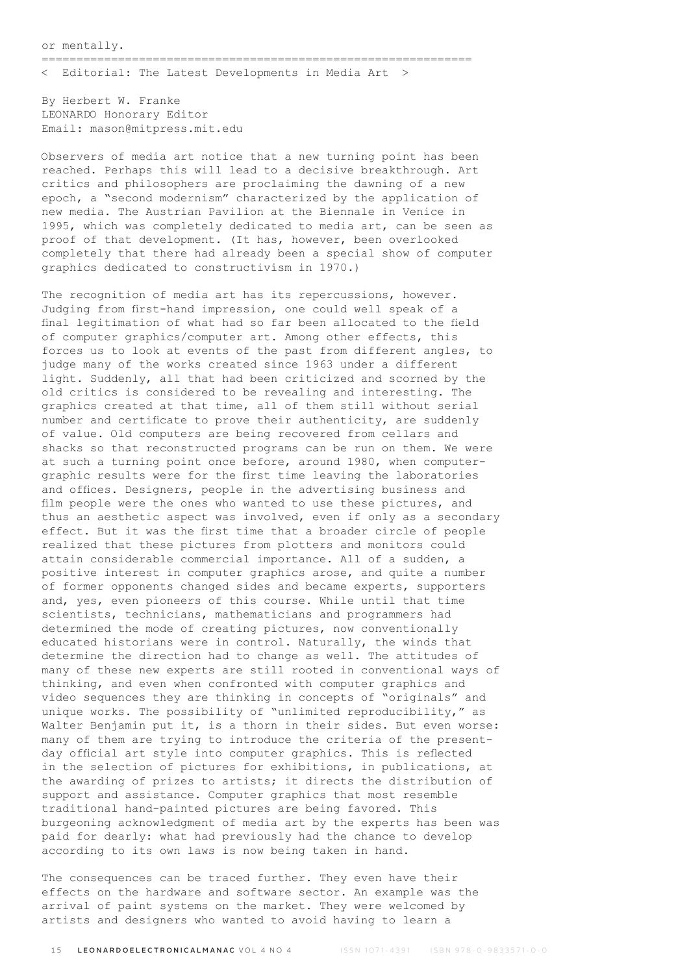or mentally.

< Editorial: The Latest Developments in Media Art >

==============================================================

By Herbert W. Franke LEONARDO Honorary Editor Email: mason@mitpress.mit.edu

Observers of media art notice that a new turning point has been reached. Perhaps this will lead to a decisive breakthrough. Art critics and philosophers are proclaiming the dawning of a new epoch, a "second modernism" characterized by the application of new media. The Austrian Pavilion at the Biennale in Venice in 1995, which was completely dedicated to media art, can be seen as proof of that development. (It has, however, been overlooked completely that there had already been a special show of computer graphics dedicated to constructivism in 1970.)

The recognition of media art has its repercussions, however. Judging from first-hand impression, one could well speak of a final legitimation of what had so far been allocated to the field of computer graphics/computer art. Among other effects, this forces us to look at events of the past from different angles, to judge many of the works created since 1963 under a different light. Suddenly, all that had been criticized and scorned by the old critics is considered to be revealing and interesting. The graphics created at that time, all of them still without serial number and certificate to prove their authenticity, are suddenly of value. Old computers are being recovered from cellars and shacks so that reconstructed programs can be run on them. We were at such a turning point once before, around 1980, when computergraphic results were for the first time leaving the laboratories and offices. Designers, people in the advertising business and film people were the ones who wanted to use these pictures, and thus an aesthetic aspect was involved, even if only as a secondary effect. But it was the first time that a broader circle of people realized that these pictures from plotters and monitors could attain considerable commercial importance. All of a sudden, a positive interest in computer graphics arose, and quite a number of former opponents changed sides and became experts, supporters and, yes, even pioneers of this course. While until that time scientists, technicians, mathematicians and programmers had determined the mode of creating pictures, now conventionally educated historians were in control. Naturally, the winds that determine the direction had to change as well. The attitudes of many of these new experts are still rooted in conventional ways of thinking, and even when confronted with computer graphics and video sequences they are thinking in concepts of "originals" and unique works. The possibility of "unlimited reproducibility," as Walter Benjamin put it, is a thorn in their sides. But even worse: many of them are trying to introduce the criteria of the presentday official art style into computer graphics. This is reflected in the selection of pictures for exhibitions, in publications, at the awarding of prizes to artists; it directs the distribution of support and assistance. Computer graphics that most resemble traditional hand-painted pictures are being favored. This burgeoning acknowledgment of media art by the experts has been was paid for dearly: what had previously had the chance to develop according to its own laws is now being taken in hand.

The consequences can be traced further. They even have their effects on the hardware and software sector. An example was the arrival of paint systems on the market. They were welcomed by artists and designers who wanted to avoid having to learn a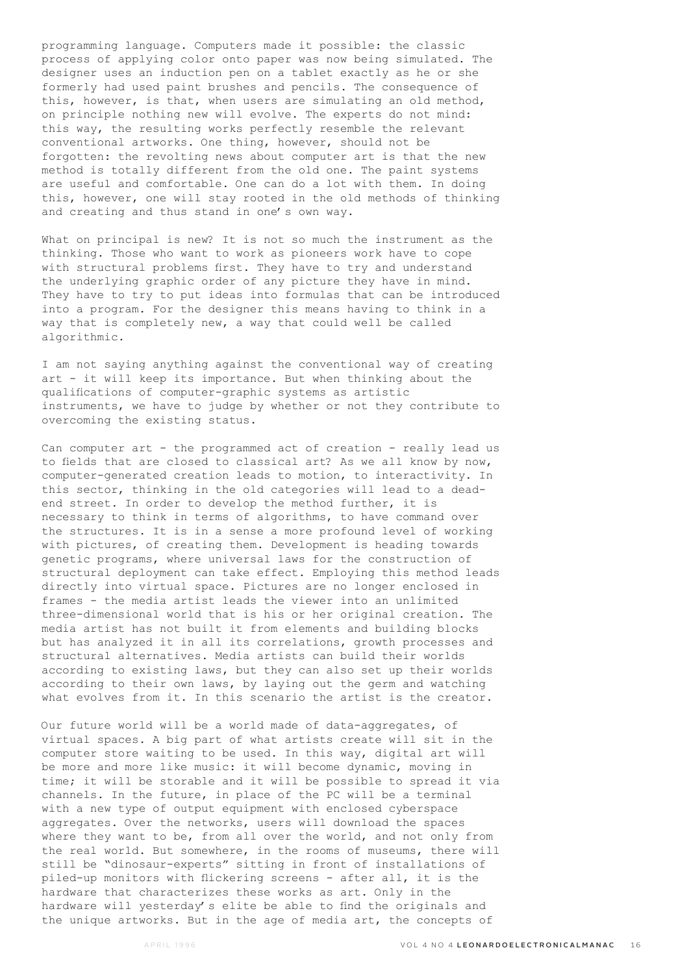programming language. Computers made it possible: the classic process of applying color onto paper was now being simulated. The designer uses an induction pen on a tablet exactly as he or she formerly had used paint brushes and pencils. The consequence of this, however, is that, when users are simulating an old method, on principle nothing new will evolve. The experts do not mind: this way, the resulting works perfectly resemble the relevant conventional artworks. One thing, however, should not be forgotten: the revolting news about computer art is that the new method is totally different from the old one. The paint systems are useful and comfortable. One can do a lot with them. In doing this, however, one will stay rooted in the old methods of thinking and creating and thus stand in one's own way.

What on principal is new? It is not so much the instrument as the thinking. Those who want to work as pioneers work have to cope with structural problems first. They have to try and understand the underlying graphic order of any picture they have in mind. They have to try to put ideas into formulas that can be introduced into a program. For the designer this means having to think in a way that is completely new, a way that could well be called algorithmic.

I am not saying anything against the conventional way of creating art - it will keep its importance. But when thinking about the qualifications of computer-graphic systems as artistic instruments, we have to judge by whether or not they contribute to overcoming the existing status.

Can computer art - the programmed act of creation - really lead us to fields that are closed to classical art? As we all know by now, computer-generated creation leads to motion, to interactivity. In this sector, thinking in the old categories will lead to a deadend street. In order to develop the method further, it is necessary to think in terms of algorithms, to have command over the structures. It is in a sense a more profound level of working with pictures, of creating them. Development is heading towards genetic programs, where universal laws for the construction of structural deployment can take effect. Employing this method leads directly into virtual space. Pictures are no longer enclosed in frames - the media artist leads the viewer into an unlimited three-dimensional world that is his or her original creation. The media artist has not built it from elements and building blocks but has analyzed it in all its correlations, growth processes and structural alternatives. Media artists can build their worlds according to existing laws, but they can also set up their worlds according to their own laws, by laying out the germ and watching what evolves from it. In this scenario the artist is the creator.

Our future world will be a world made of data-aggregates, of virtual spaces. A big part of what artists create will sit in the computer store waiting to be used. In this way, digital art will be more and more like music: it will become dynamic, moving in time; it will be storable and it will be possible to spread it via channels. In the future, in place of the PC will be a terminal with a new type of output equipment with enclosed cyberspace aggregates. Over the networks, users will download the spaces where they want to be, from all over the world, and not only from the real world. But somewhere, in the rooms of museums, there will still be "dinosaur-experts" sitting in front of installations of piled-up monitors with flickering screens - after all, it is the hardware that characterizes these works as art. Only in the hardware will yesterday's elite be able to find the originals and the unique artworks. But in the age of media art, the concepts of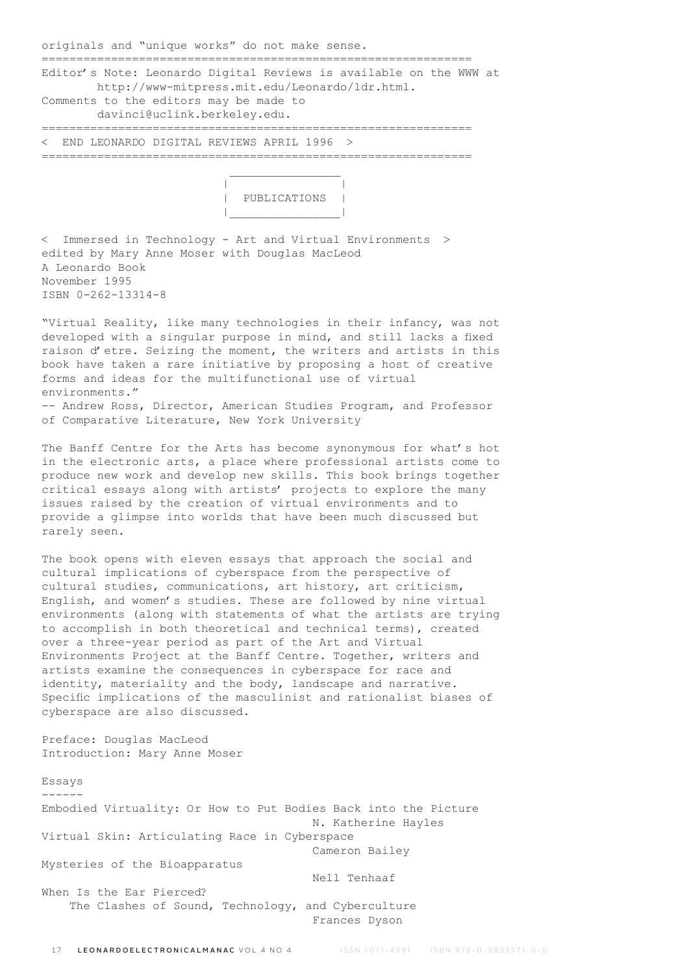originals and "unique works" do not make sense.

 $\mathcal{L}_\text{max}$  and  $\mathcal{L}_\text{max}$  and  $\mathcal{L}_\text{max}$  and  $\mathcal{L}_\text{max}$ 

============================================================== Editor's Note: Leonardo Digital Reviews is available on the WWW at http://www-mitpress.mit.edu/Leonardo/ldr.html. Comments to the editors may be made to davinci@uclink.berkeley.edu. ============================================================== < END LEONARDO DIGITAL REVIEWS APRIL 1996 > ==============================================================

 | | | PUBLICATIONS | |\_\_\_\_\_\_\_\_\_\_\_\_\_\_\_\_|

< Immersed in Technology - Art and Virtual Environments > edited by Mary Anne Moser with Douglas MacLeod A Leonardo Book November 1995 ISBN 0-262-13314-8

"Virtual Reality, like many technologies in their infancy, was not developed with a singular purpose in mind, and still lacks a fixed raison d'etre. Seizing the moment, the writers and artists in this book have taken a rare initiative by proposing a host of creative forms and ideas for the multifunctional use of virtual environments." -- Andrew Ross, Director, American Studies Program, and Professor of Comparative Literature, New York University

The Banff Centre for the Arts has become synonymous for what's hot in the electronic arts, a place where professional artists come to produce new work and develop new skills. This book brings together critical essays along with artists' projects to explore the many issues raised by the creation of virtual environments and to provide a glimpse into worlds that have been much discussed but rarely seen.

The book opens with eleven essays that approach the social and cultural implications of cyberspace from the perspective of cultural studies, communications, art history, art criticism, English, and women's studies. These are followed by nine virtual environments (along with statements of what the artists are trying to accomplish in both theoretical and technical terms), created over a three-year period as part of the Art and Virtual Environments Project at the Banff Centre. Together, writers and artists examine the consequences in cyberspace for race and identity, materiality and the body, landscape and narrative. Specific implications of the masculinist and rationalist biases of cyberspace are also discussed.

Preface: Douglas MacLeod Introduction: Mary Anne Moser

Essays ------ Embodied Virtuality: Or How to Put Bodies Back into the Picture N. Katherine Hayles Virtual Skin: Articulating Race in Cyberspace Cameron Bailey Mysteries of the Bioapparatus Nell Tenhaaf When Is the Ear Pierced? The Clashes of Sound, Technology, and Cyberculture Frances Dyson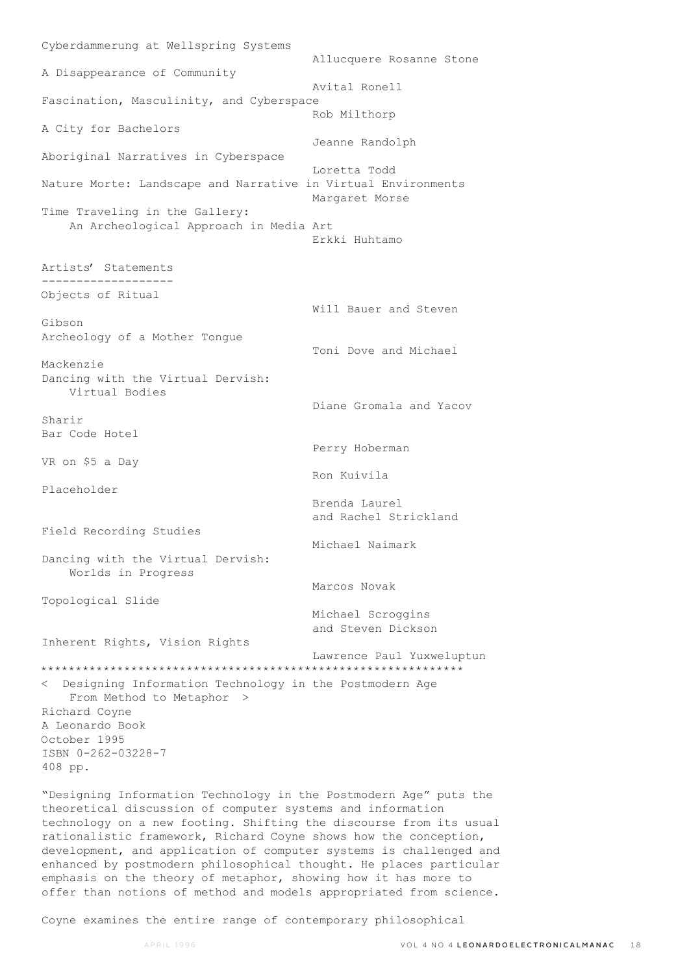Cyberdammerung at Wellspring Systems Allucquere Rosanne Stone A Disappearance of Community Avital Ronell Fascination, Masculinity, and Cyberspace Rob Milthorp A City for Bachelors Jeanne Randolph Aboriginal Narratives in Cyberspace Loretta Todd Nature Morte: Landscape and Narrative in Virtual Environments Margaret Morse Time Traveling in the Gallery: An Archeological Approach in Media Art Erkki Huhtamo Artists' Statements ------------------- Objects of Ritual Will Bauer and Steven Gibson Archeology of a Mother Tongue Toni Dove and Michael Mackenzie Dancing with the Virtual Dervish: Virtual Bodies Diane Gromala and Yacov Sharir Bar Code Hotel Perry Hoberman VR on \$5 a Day Ron Kuivila Placeholder Brenda Laurel and Rachel Strickland Field Recording Studies Michael Naimark Dancing with the Virtual Dervish: Worlds in Progress Marcos Novak Topological Slide Michael Scroggins and Steven Dickson Inherent Rights, Vision Rights Lawrence Paul Yuxweluptun \*\*\*\*\*\*\*\*\*\*\*\*\*\*\*\*\*\*\*\*\*\*\*\*\*\*\*\*\*\*\*\*\*\*\*\*\*\*\*\*\*\*\*\*\*\*\*\*\*\*\*\*\*\*\*\*\*\*\*\*\* < Designing Information Technology in the Postmodern Age From Method to Metaphor > Richard Coyne A Leonardo Book October 1995 ISBN 0-262-03228-7 408 pp.

"Designing Information Technology in the Postmodern Age" puts the theoretical discussion of computer systems and information technology on a new footing. Shifting the discourse from its usual rationalistic framework, Richard Coyne shows how the conception, development, and application of computer systems is challenged and enhanced by postmodern philosophical thought. He places particular emphasis on the theory of metaphor, showing how it has more to offer than notions of method and models appropriated from science.

Coyne examines the entire range of contemporary philosophical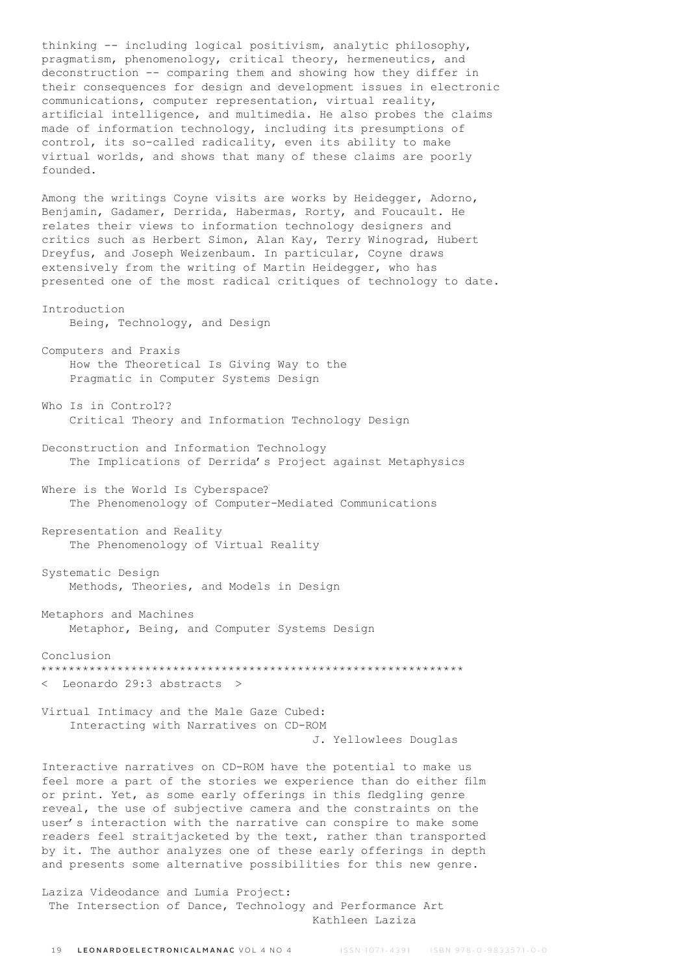thinking -- including logical positivism, analytic philosophy, pragmatism, phenomenology, critical theory, hermeneutics, and deconstruction -- comparing them and showing how they differ in their consequences for design and development issues in electronic communications, computer representation, virtual reality, artificial intelligence, and multimedia. He also probes the claims made of information technology, including its presumptions of control, its so-called radicality, even its ability to make virtual worlds, and shows that many of these claims are poorly founded.

Among the writings Coyne visits are works by Heidegger, Adorno, Benjamin, Gadamer, Derrida, Habermas, Rorty, and Foucault. He relates their views to information technology designers and critics such as Herbert Simon, Alan Kay, Terry Winograd, Hubert Dreyfus, and Joseph Weizenbaum. In particular, Coyne draws extensively from the writing of Martin Heidegger, who has presented one of the most radical critiques of technology to date.

Introduction Being, Technology, and Design

Computers and Praxis How the Theoretical Is Giving Way to the Pragmatic in Computer Systems Design

Who Is in Control?? Critical Theory and Information Technology Design

Deconstruction and Information Technology The Implications of Derrida's Project against Metaphysics

Where is the World Is Cyberspace? The Phenomenology of Computer-Mediated Communications

Representation and Reality The Phenomenology of Virtual Reality

Systematic Design Methods, Theories, and Models in Design

Metaphors and Machines Metaphor, Being, and Computer Systems Design

Conclusion

\*\*\*\*\*\*\*\*\*\*\*\*\*\*\*\*\*\*\*\*\*\*\*\*\*\*\*\*\*\*\*\*\*\*\*\*\*\*\*\*\*\*\*\*\*\*\*\*\*\*\*\*\*\*\*\*\*\*\*\*\*

< Leonardo 29:3 abstracts >

Virtual Intimacy and the Male Gaze Cubed: Interacting with Narratives on CD-ROM J. Yellowlees Douglas

Interactive narratives on CD-ROM have the potential to make us feel more a part of the stories we experience than do either film or print. Yet, as some early offerings in this fledgling genre reveal, the use of subjective camera and the constraints on the user's interaction with the narrative can conspire to make some readers feel straitjacketed by the text, rather than transported by it. The author analyzes one of these early offerings in depth and presents some alternative possibilities for this new genre.

Laziza Videodance and Lumia Project: The Intersection of Dance, Technology and Performance Art Kathleen Laziza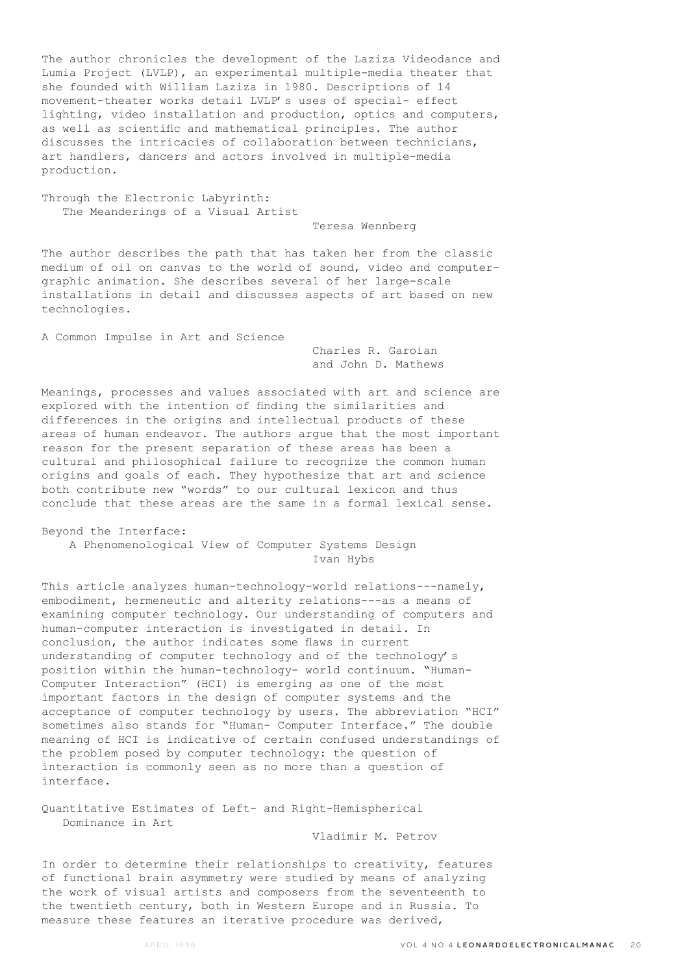The author chronicles the development of the Laziza Videodance and Lumia Project (LVLP), an experimental multiple-media theater that she founded with William Laziza in 1980. Descriptions of 14 movement-theater works detail LVLP's uses of special- effect lighting, video installation and production, optics and computers, as well as scientific and mathematical principles. The author discusses the intricacies of collaboration between technicians, art handlers, dancers and actors involved in multiple-media production.

Through the Electronic Labyrinth: The Meanderings of a Visual Artist

Teresa Wennberg

The author describes the path that has taken her from the classic medium of oil on canvas to the world of sound, video and computergraphic animation. She describes several of her large-scale installations in detail and discusses aspects of art based on new technologies.

A Common Impulse in Art and Science

 Charles R. Garoian and John D. Mathews

Meanings, processes and values associated with art and science are explored with the intention of finding the similarities and differences in the origins and intellectual products of these areas of human endeavor. The authors argue that the most important reason for the present separation of these areas has been a cultural and philosophical failure to recognize the common human origins and goals of each. They hypothesize that art and science both contribute new "words" to our cultural lexicon and thus conclude that these areas are the same in a formal lexical sense.

Beyond the Interface:

 A Phenomenological View of Computer Systems Design Ivan Hybs

This article analyzes human-technology-world relations---namely, embodiment, hermeneutic and alterity relations---as a means of examining computer technology. Our understanding of computers and human-computer interaction is investigated in detail. In conclusion, the author indicates some flaws in current understanding of computer technology and of the technology's position within the human-technology- world continuum. "Human-Computer Interaction" (HCI) is emerging as one of the most important factors in the design of computer systems and the acceptance of computer technology by users. The abbreviation "HCI" sometimes also stands for "Human- Computer Interface." The double meaning of HCI is indicative of certain confused understandings of the problem posed by computer technology: the question of interaction is commonly seen as no more than a question of interface.

Quantitative Estimates of Left- and Right-Hemispherical Dominance in Art

Vladimir M. Petrov

In order to determine their relationships to creativity, features of functional brain asymmetry were studied by means of analyzing the work of visual artists and composers from the seventeenth to the twentieth century, both in Western Europe and in Russia. To measure these features an iterative procedure was derived,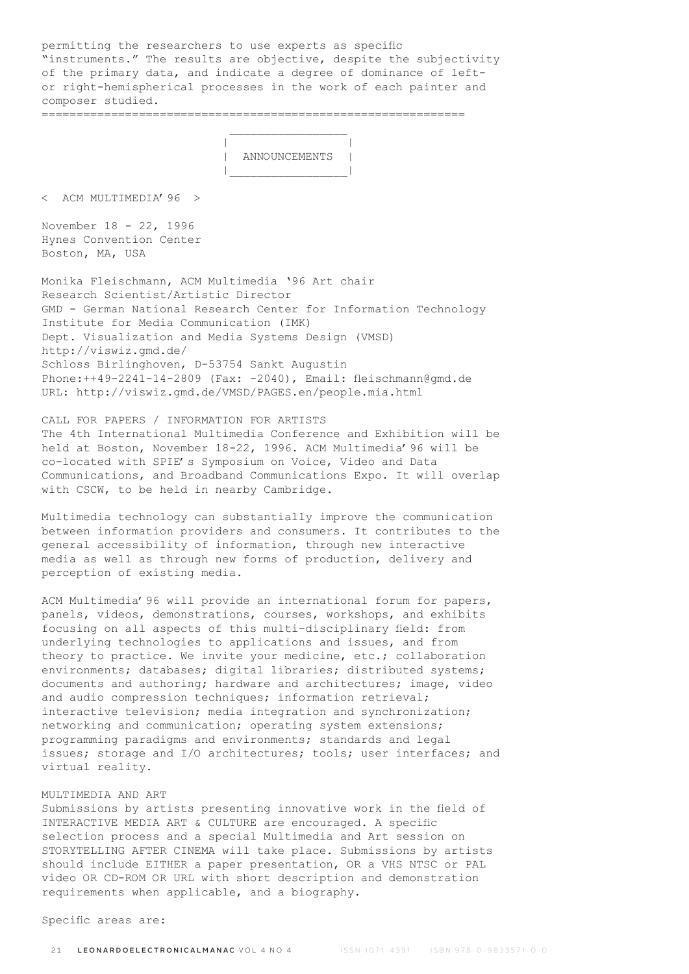permitting the researchers to use experts as specific "instruments." The results are objective, despite the subjectivity of the primary data, and indicate a degree of dominance of leftor right-hemispherical processes in the work of each painter and composer studied.

=============================================================

 $\mathcal{L}_\mathcal{L}$  , which is a set of the set of the set of the set of the set of the set of the set of the set of the set of the set of the set of the set of the set of the set of the set of the set of the set of the set of

 | | | ANNOUNCEMENTS | |\_\_\_\_\_\_\_\_\_\_\_\_\_\_\_\_\_|

< ACM MULTIMEDIA'96 >

November 18 - 22, 1996 Hynes Convention Center Boston, MA, USA

Monika Fleischmann, ACM Multimedia '96 Art chair Research Scientist/Artistic Director GMD - German National Research Center for Information Technology Institute for Media Communication (IMK) Dept. Visualization and Media Systems Design (VMSD) http://viswiz.gmd.de/ Schloss Birlinghoven, D-53754 Sankt Augustin Phone: ++49-2241-14-2809 (Fax: -2040), Email: fleischmann@gmd.de URL: http://viswiz.gmd.de/VMSD/PAGES.en/people.mia.html

CALL FOR PAPERS / INFORMATION FOR ARTISTS The 4th International Multimedia Conference and Exhibition will be held at Boston, November 18-22, 1996. ACM Multimedia'96 will be co-located with SPIE's Symposium on Voice, Video and Data Communications, and Broadband Communications Expo. It will overlap with CSCW, to be held in nearby Cambridge.

Multimedia technology can substantially improve the communication between information providers and consumers. It contributes to the general accessibility of information, through new interactive media as well as through new forms of production, delivery and perception of existing media.

ACM Multimedia'96 will provide an international forum for papers, panels, videos, demonstrations, courses, workshops, and exhibits focusing on all aspects of this multi-disciplinary field: from underlying technologies to applications and issues, and from theory to practice. We invite your medicine, etc.; collaboration environments; databases; digital libraries; distributed systems; documents and authoring; hardware and architectures; image, video and audio compression techniques; information retrieval; interactive television; media integration and synchronization; networking and communication; operating system extensions; programming paradigms and environments; standards and legal issues; storage and I/O architectures; tools; user interfaces; and virtual reality.

### MULTIMEDIA AND ART

Submissions by artists presenting innovative work in the field of INTERACTIVE MEDIA ART & CULTURE are encouraged. A specific selection process and a special Multimedia and Art session on STORYTELLING AFTER CINEMA will take place. Submissions by artists should include EITHER a paper presentation, OR a VHS NTSC or PAL video OR CD-ROM OR URL with short description and demonstration requirements when applicable, and a biography.

Specific areas are: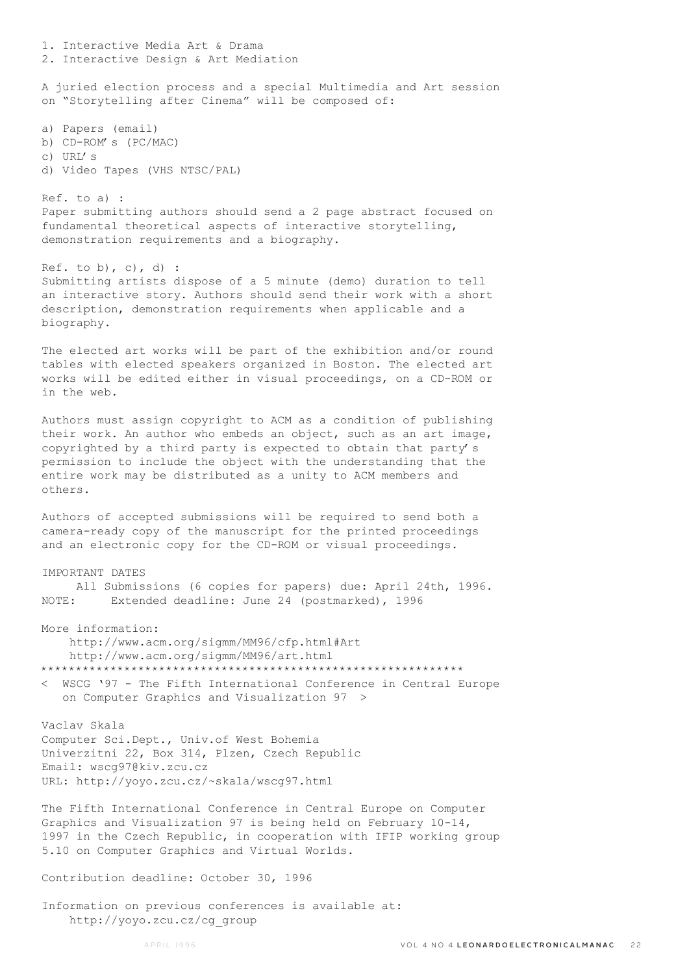1. Interactive Media Art & Drama 2. Interactive Design & Art Mediation A juried election process and a special Multimedia and Art session on "Storytelling after Cinema" will be composed of: a) Papers (email) b) CD-ROM's (PC/MAC) c) URL's d) Video Tapes (VHS NTSC/PAL) Ref. to a) : Paper submitting authors should send a 2 page abstract focused on fundamental theoretical aspects of interactive storytelling, demonstration requirements and a biography. Ref. to b), c),  $d)$  : Submitting artists dispose of a 5 minute (demo) duration to tell an interactive story. Authors should send their work with a short description, demonstration requirements when applicable and a biography. The elected art works will be part of the exhibition and/or round tables with elected speakers organized in Boston. The elected art works will be edited either in visual proceedings, on a CD-ROM or in the web. Authors must assign copyright to ACM as a condition of publishing their work. An author who embeds an object, such as an art image, copyrighted by a third party is expected to obtain that party's permission to include the object with the understanding that the entire work may be distributed as a unity to ACM members and others. Authors of accepted submissions will be required to send both a camera-ready copy of the manuscript for the printed proceedings and an electronic copy for the CD-ROM or visual proceedings. IMPORTANT DATES All Submissions (6 copies for papers) due: April 24th, 1996. NOTE: Extended deadline: June 24 (postmarked), 1996 More information: http://www.acm.org/sigmm/MM96/cfp.html#Art http://www.acm.org/sigmm/MM96/art.html \*\*\*\*\*\*\*\*\*\*\*\*\*\*\*\*\*\*\*\*\*\*\*\*\*\*\*\*\*\*\*\*\*\*\*\*\*\*\*\*\*\*\*\*\*\*\*\*\*\*\*\*\*\*\*\*\*\*\*\*\* < WSCG '97 - The Fifth International Conference in Central Europe on Computer Graphics and Visualization 97 > Vaclav Skala Computer Sci.Dept., Univ.of West Bohemia Univerzitni 22, Box 314, Plzen, Czech Republic Email: wscg97@kiv.zcu.cz URL: http://yoyo.zcu.cz/~skala/wscg97.html The Fifth International Conference in Central Europe on Computer Graphics and Visualization 97 is being held on February 10-14, 1997 in the Czech Republic, in cooperation with IFIP working group 5.10 on Computer Graphics and Virtual Worlds. Contribution deadline: October 30, 1996 Information on previous conferences is available at: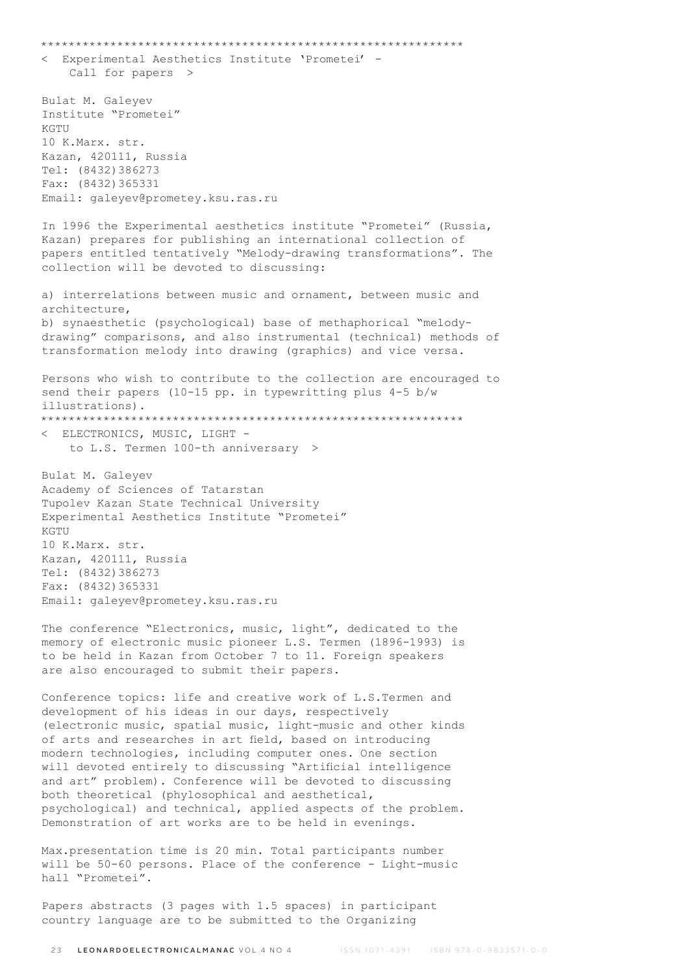\*\*\*\*\*\*\*\*\*\*\*\*\*\*\*\*\*\*\*\*\*\*\*\*\*\*\*\*\*\*\*\*\*\*\*\*\*\*\*\*\*\*\*\*\*\*\*\*\*\*\*\*\*\*\*\*\*\*\*\*\* < Experimental Aesthetics Institute 'Prometei' - Call for papers > Bulat M. Galeyev Institute "Prometei" **KGTU** 10 K.Marx. str. Kazan, 420111, Russia Tel: (8432)386273 Fax: (8432)365331 Email: galeyev@prometey.ksu.ras.ru In 1996 the Experimental aesthetics institute "Prometei" (Russia, Kazan) prepares for publishing an international collection of papers entitled tentatively "Melody-drawing transformations". The collection will be devoted to discussing: a) interrelations between music and ornament, between music and architecture, b) synaesthetic (psychological) base of methaphorical "melodydrawing" comparisons, and also instrumental (technical) methods of transformation melody into drawing (graphics) and vice versa. Persons who wish to contribute to the collection are encouraged to send their papers (10-15 pp. in typewritting plus 4-5 b/w illustrations). \*\*\*\*\*\*\*\*\*\*\*\*\*\*\*\*\*\*\*\*\*\*\*\*\*\*\*\*\*\*\*\*\*\*\*\*\*\*\*\*\*\*\*\*\*\*\*\*\*\*\*\*\*\*\*\*\*\*\*\*\* < ELECTRONICS, MUSIC, LIGHT to L.S. Termen 100-th anniversary > Bulat M. Galeyev Academy of Sciences of Tatarstan Tupolev Kazan State Technical University Experimental Aesthetics Institute "Prometei" KGTU 10 K.Marx. str. Kazan, 420111, Russia Tel: (8432)386273 Fax: (8432)365331 Email: galeyev@prometey.ksu.ras.ru The conference "Electronics, music, light", dedicated to the memory of electronic music pioneer L.S. Termen (1896-1993) is to be held in Kazan from October 7 to 11. Foreign speakers are also encouraged to submit their papers. Conference topics: life and creative work of L.S.Termen and development of his ideas in our days, respectively (electronic music, spatial music, light-music and other kinds of arts and researches in art field, based on introducing modern technologies, including computer ones. One section will devoted entirely to discussing "Artificial intelligence

both theoretical (phylosophical and aesthetical, psychological) and technical, applied aspects of the problem. Demonstration of art works are to be held in evenings.

and art" problem). Conference will be devoted to discussing

Max.presentation time is 20 min. Total participants number will be 50-60 persons. Place of the conference - Light-music hall "Prometei".

Papers abstracts (3 pages with 1.5 spaces) in participant country language are to be submitted to the Organizing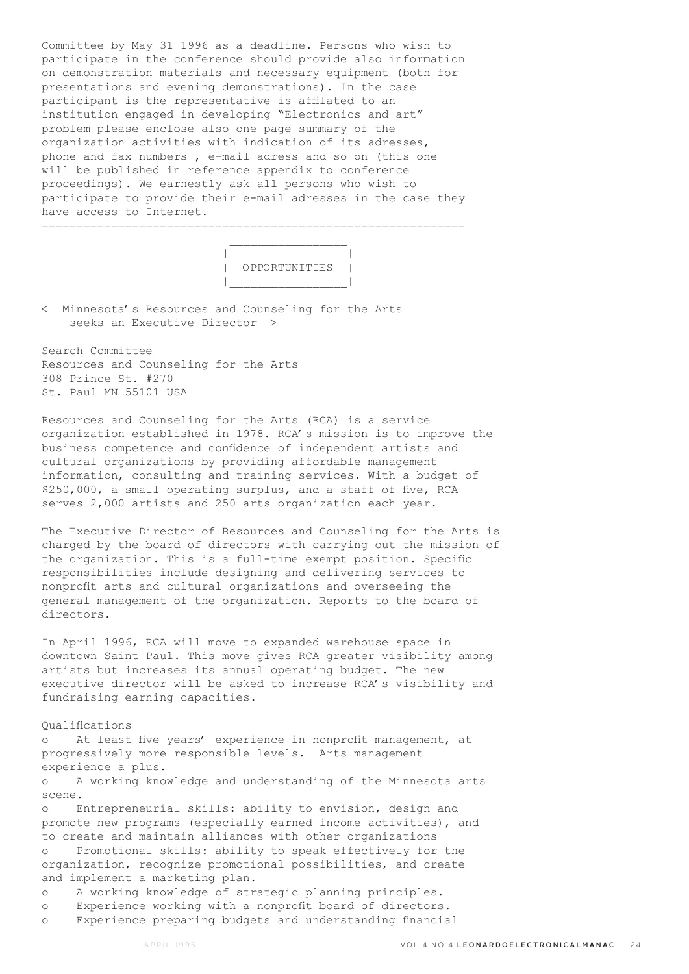Committee by May 31 1996 as a deadline. Persons who wish to participate in the conference should provide also information on demonstration materials and necessary equipment (both for presentations and evening demonstrations). In the case participant is the representative is affilated to an institution engaged in developing "Electronics and art" problem please enclose also one page summary of the organization activities with indication of its adresses, phone and fax numbers , e-mail adress and so on (this one will be published in reference appendix to conference proceedings). We earnestly ask all persons who wish to participate to provide their e-mail adresses in the case they have access to Internet. =============================================================



< Minnesota's Resources and Counseling for the Arts seeks an Executive Director >

Search Committee Resources and Counseling for the Arts 308 Prince St. #270 St. Paul MN 55101 USA

Resources and Counseling for the Arts (RCA) is a service organization established in 1978. RCA's mission is to improve the business competence and confidence of independent artists and cultural organizations by providing affordable management information, consulting and training services. With a budget of \$250,000, a small operating surplus, and a staff of five, RCA serves 2,000 artists and 250 arts organization each year.

The Executive Director of Resources and Counseling for the Arts is charged by the board of directors with carrying out the mission of the organization. This is a full-time exempt position. Specific responsibilities include designing and delivering services to nonprofit arts and cultural organizations and overseeing the general management of the organization. Reports to the board of directors.

In April 1996, RCA will move to expanded warehouse space in downtown Saint Paul. This move gives RCA greater visibility among artists but increases its annual operating budget. The new executive director will be asked to increase RCA's visibility and fundraising earning capacities.

# Qualifications

o At least five years' experience in nonprofit management, at progressively more responsible levels. Arts management experience a plus.

o A working knowledge and understanding of the Minnesota arts scene.

o Entrepreneurial skills: ability to envision, design and promote new programs (especially earned income activities), and to create and maintain alliances with other organizations o Promotional skills: ability to speak effectively for the organization, recognize promotional possibilities, and create and implement a marketing plan.

o A working knowledge of strategic planning principles.

o Experience working with a nonprofit board of directors.

o Experience preparing budgets and understanding financial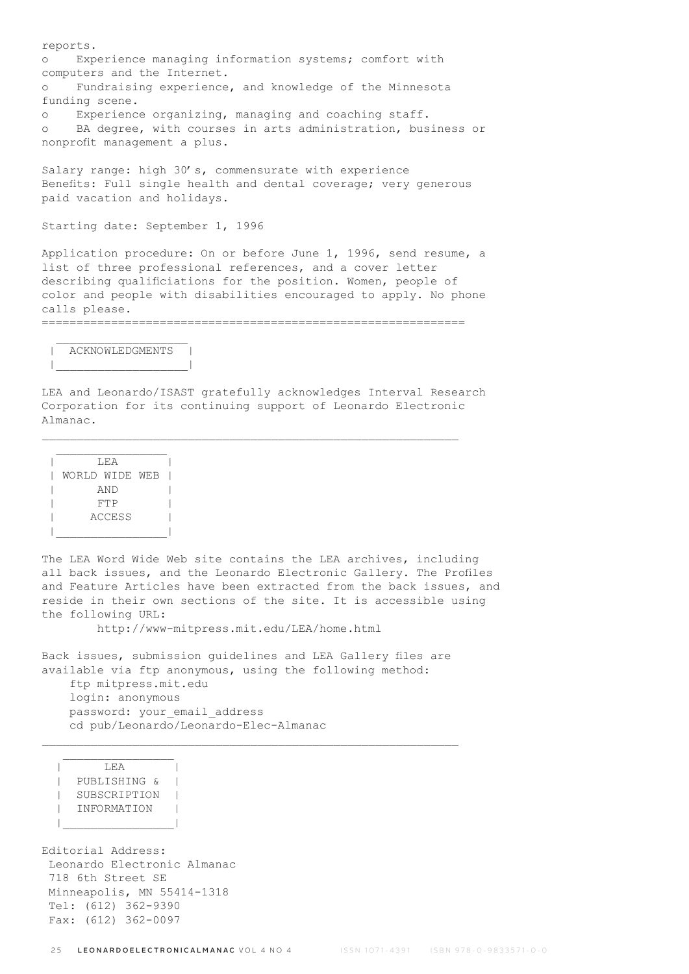reports. o Experience managing information systems; comfort with computers and the Internet. Fundraising experience, and knowledge of the Minnesota funding scene. o Experience organizing, managing and coaching staff. o BA degree, with courses in arts administration, business or nonprofit management a plus.

Salary range: high 30's, commensurate with experience Benefits: Full single health and dental coverage; very generous paid vacation and holidays.

```
Starting date: September 1, 1996
```
Application procedure: On or before June 1, 1996, send resume, a list of three professional references, and a cover letter describing qualificiations for the position. Women, people of color and people with disabilities encouraged to apply. No phone calls please.

=============================================================

# $\mathcal{L}_\text{max}$  | ACKNOWLEDGMENTS | |\_\_\_\_\_\_\_\_\_\_\_\_\_\_\_\_\_\_\_|

LEA and Leonardo/ISAST gratefully acknowledges Interval Research Corporation for its continuing support of Leonardo Electronic Almanac.

 $\mathcal{L}_\text{max}$ 

| LEA            |  |
|----------------|--|
| WORLD WIDE WEB |  |
| AND            |  |
| FTP            |  |
| ACCESS         |  |
|                |  |

The LEA Word Wide Web site contains the LEA archives, including all back issues, and the Leonardo Electronic Gallery. The Profiles and Feature Articles have been extracted from the back issues, and reside in their own sections of the site. It is accessible using the following URL:

http://www-mitpress.mit.edu/LEA/home.html

Back issues, submission guidelines and LEA Gallery files are available via ftp anonymous, using the following method: ftp mitpress.mit.edu login: anonymous password: your\_email\_address cd pub/Leonardo/Leonardo-Elec-Almanac

 | LEA | | PUBLISHING & | | SUBSCRIPTION | | INFORMATION | |\_\_\_\_\_\_\_\_\_\_\_\_\_\_\_\_|

Editorial Address: Leonardo Electronic Almanac 718 6th Street SE Minneapolis, MN 55414-1318 Tel: (612) 362-9390 Fax: (612) 362-0097